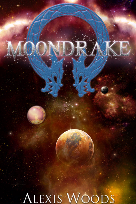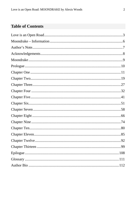### **Table of Contents**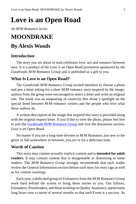# <span id="page-2-0"></span>**Love is an Open Road**

*An M/M Romance series*

## **MOONDRAKE**

## **By Alexis Woods**

#### **Introduction**

The story you are about to read celebrates love, sex and romance between men. It is a product of the *Love is an Open Road* promotion sponsored by the *Goodreads M/M Romance Group* and is published as a gift to you.

#### **What Is Love is an Open Road?**

The *Goodreads M/M Romance Group* invited members to choose a photo and pen a letter asking for a short M/M romance story inspired by the image; authors from the group were encouraged to select a letter and write an original tale. The result was an outpouring of creativity that shone a spotlight on the special bond between M/M romance writers and the people who love what these authors do.

A written description of the image that inspired this story is provided along with the original request letter. If you'd like to view the photo, please feel free to join the [Goodreads M/M Romance Group](http://www.goodreads.com/group/show/20149-m-m-romance) and visit the discussion section: *Love is an Open Road*.

No matter if you are a long-time devotee to M/M Romance, just new to the genre or fall somewhere in between, you are in for a delicious treat.

#### **Words of Caution**

This story may contain sexually explicit content and is **intended for adult readers.** It may contain content that is disagreeable or distressing to some readers. The *M/M Romance Group* strongly recommends that each reader review the General Information section before each story for story tags as well as for content warnings.

Each year, a dedicated group of Volunteers from the M/M Romance Group work hard behind the scenes to bring these stories to you. Our Editors, Formatters, Proofreaders, and those working on Quality Assurance, spend many long hours over a course of several months so that each Event is a success. As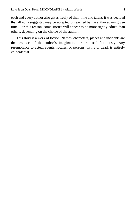each and every author also gives freely of their time and talent, it was decided that all edits suggested may be accepted or rejected by the author at any given time. For this reason, some stories will appear to be more tightly edited than others, depending on the choice of the author.

This story is a work of fiction. Names, characters, places and incidents are the products of the author's imagination or are used fictitiously. Any resemblance to actual events, locales, or persons, living or dead, is entirely coincidental.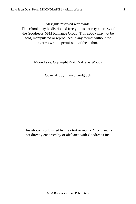All rights reserved worldwide.

This eBook may be distributed freely in its entirety courtesy of the Goodreads M/M Romance Group. This eBook may not be sold, manipulated or reproduced in any format without the express written permission of the author.

Moondrake, Copyright © 2015 Alexis Woods

Cover Art by Francu Godgluck

This ebook is published by the *M/M Romance Group* and is not directly endorsed by or affiliated with Goodreads Inc.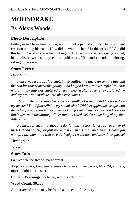## <span id="page-5-0"></span>**MOONDRAKE**

## **By Alexis Woods**

#### **Photo Description**

Filthy, naked from head to toe, nothing but a pair of cutoffs. His prominent erection tenting his pants. How did he wind up here? In this prison? Who did this to him? And who was he thinking of? His head is turned and our gazes met, his pupils blown inside green and gold irises. His hand extends, imploring, asking to be saved.

#### **Story Letter**

#### *Dear Author*,

*I once was a cargo ship captain, straddling the line between the law and the bandits that roamed the galaxy. I had a good crew and a simple life. That*  was until my ship was captured by an unknown alien race. They enslaved me *and my crew and made us into pleasure slaves.*

*Here is where the story becomes yours—Was I sold and did I come to love my master? Did I find relief in my submission? Did I struggle and escape with the help of a secret lover that came looking for me? Was I rescued and come to fall in love with the military officer that liberated me? Or something altogether different?*

*No incest or cheating (though I don't think the story lends itself to either of these). It can be sci-fi or fantasy (with no humans at all and magic!). Have fun with it. I like humor as well as a dark edge. I want love and sexy times please!*

*Thank you!!*

*Teresa*

#### **Story Info**

**Genre:** science fiction, paranormal

**Tags:** captivity, bondage, enemies to lovers, interspecies, M/M/M, shifters, mpreg, dubious consent

**Content Warnings:** violence, sex in shifted form

**Word Count:** 38,828

A glossary of terms may be found at the end of the story.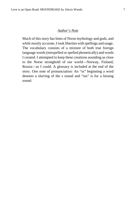#### *Author's Note*

<span id="page-6-0"></span>Much of this story has hints of Norse mythology and gods, and while mostly accurate, I took liberties with spellings and usage. The vocabulary consists of a mixture of both true foreign language words (misspelled or spelled phonetically) and words I created. I attempted to keep these creations sounding as close to the Norse stronghold of our world—Norway, Finland, Russia—as I could. A glossary is included at the end of the story. One note of pronunciation: An "ss" beginning a word denotes a slurring of the s sound and "sss" is for a hissing sound.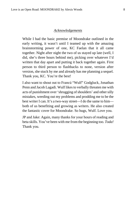#### *Acknowledgements*

<span id="page-7-0"></span>While I had the basic premise of Moondrake outlined in the early writing, it wasn't until I teamed up with the amazing brainstorming power of one, KC Faelan that it all came together. Night after night the two of us stayed up late (well, I did, she's three hours behind me), picking over whatever I'd written that day apart and putting it back together again. First person to third person to flashbacks to none, version after version, she stuck by me and already has me planning a sequel. Thank you, KC. You're the best!

I also want to shout out to Francú "Wulf" Godgluck, Jonathan Penn and Jacob Lagadi. Wulf likes to verbally threaten me with acts of punishment over 'shrugging of shoulders' and other silly mistakes, weeding out my problems and prodding me to be the best writer I can. It's a two-way street—I do the same to him both of us benefiting and growing as writers. He also created the fantastic cover for Moondrake. So hugs, Wulf. Love you.

JP and Jake: Again, many thanks for your hours of reading and beta skills. You've been with me from the beginning too. *Toda!* Thank you.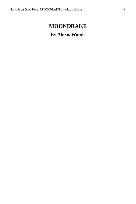# <span id="page-8-0"></span>**MOONDRAKE**

## **By Alexis Woods**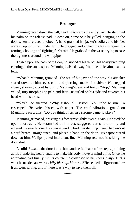#### **Prologue**

<span id="page-9-0"></span>Manning raced down the hall, heading towards the entryway. He slammed his palm on the release pad. "Come on, come on," he yelled, banging on the door when it refused to obey. A hand grabbed his jacket's collar, and his feet were swept out from under him. He dragged and kicked his legs to regain his footing, choking and fighting for breath. He grabbed at the wrist, trying to ease the tightness around his windpipe.

Tossed upon the bathroom floor, he rubbed at his throat, his heavy breathing echoing in the small space. Manning twisted away from the kicks aimed at his legs.

"What?" Manning growled. The set of his jaw and the way his attacker stared down at him, eyes cold and piercing, made him shiver. *He* stepped closer, shoving a boot hard into Manning's legs and torso. "Stop," Manning yelled, fury morphing to pain and fear. He curled on his side and covered his head with his arms.

"Why?" *he* sneered. "Why ssshould I ssstop? You tried to run. To essscape." *His* voice hissed with anger. The cruel vibrations grated on Manning's eardrums. "Do you think thisss isss sssome game to play?"

Manning grimaced, pressing his forearms tightly over his ears. He spied the open doorway*…* He scrambled to his feet, staggered across the room, and entered the smaller one. He spun around to find *him* standing there. He blew out a hard breath, straightened, and placed a hand on the door. His captor stared down at him, *his* lips pulled into a taut line. Manning returned it, sliding the door shut.

A solid *thunk* on the door jolted him, and he fell back a few steps, grabbing at his thundering heart, unable to make his body move or mind think. Once the adrenaline had finally run its course, he collapsed to his knees. *Why?* That's what he needed answered. *Why his ship, his crew?* He needed to figure out how it all went wrong, and if there was a way to save them all.

\*\*\*\*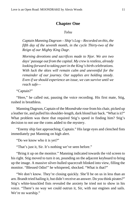#### **Chapter One**

*Tolsu*

<span id="page-10-0"></span>*Captain Manning Dagrson – Ship's Log – Recorded on this, the fifth day of the seventh month, in the cycle Thirty-two of the Reign of our Mighty King Dagr.*

*Morning devotions and sacrifices made to Njor. We are two days' passage out from the capital. My crew is restless, already looking forward to taking part in the King's birth celebrations. With luck the skies will remain calm and uneventful for the remainder of our journey. Our supplies are holding steady. Even if we should experience an issue, we can survive until we reach safe—*

"Captain?"

"Here," he called out, pausing the voice recording. His first mate, Stig, rushed in breathless.

Manning Dagrson, Captain of the *Moondrake* rose from his chair, picked up a leather tie, and pulled his shoulder-length, dark blond hair back. "What is it?" What problem was there that required Stig's speed in finding him? Stig's decision to not use the coms added to the mystery.

"Enemy ship fast approaching, Captain." His large eyes and clenched fists immediately put Manning on high alert.

"Do we know who it is yet?"

"That's just it, Sir. It's nothing we've seen before."

"Bring it up on the monitor." Manning indicated towards the vid screen to his right. Stig moved to turn it on, pounding on the adjacent keyboard to bring up the image. A massive silver-hulled spacecraft blinked into view, filling the monitor. "Blessed Odin!" he whispered, shocked. "What is that?"

"We don't know. They're closing quickly. She'll be on us in less than an arn. Brandt tried hailing it, but didn't receive an answer. Do you think pirates?" Stig's white-knuckled fists revealed the anxiety he tried not to show in his voice. "There's no way we could outrun it, Sir, with our engines and sails. We're no warship."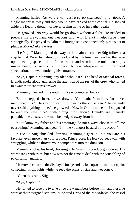Manning huffed. *No we are not. Just a cargo ship heading for dock.* A single moonrise away and they would have arrived at the capital. He shoved aside the fleeting thought of never seeing home or his father again.

He growled. No way would he go down without a fight. He needed to prepare his crew, hand out weapons and, with Brandt's help, stage them strategically. He prayed to Odin this foreign ship contained only pirates out to plunder *Moondrake*'s wares.

"Let's go." Manning led the way to the main concourse; Stig followed a step behind. Word had already spread, and by the time they reached the large open meeting space, a line of men waited and watched the unknown ship's image being tracked on a monitor. A few whispered with murmured speculation, not even noticing his entrance.

"Aye, Captain Manning, any idea who is it?" The head of tactical forces, Brandt, spoke aloud, gathering the attention of the rest of the crew who turned to await their captain's answer.

Manning frowned. "It's nothing I've encountered before."

Brandt stepped closer, brows drawn. "Your father's military Jarl never mentioned this?" He swept his arm up towards the vid screen. "He certainly never said anything to me," he growled. "How in Odin's name am I supposed to keep you safe if he's withholding information?" Brandt's ire intensely palpable, the closest crew members edged away from him.

"You know my father and his entourage do not always choose to tell me everything," Manning snapped. "I'm the youngest bastard of his brood."

"True—" Stig chuckled, drawing Manning's gaze "—but you are his favorite, even more than your brother, Prince Tore. He lets you get away with smuggling while he throws your competitors into the dungeon."

Manning cocked his head, choosing to let Stig's misconduct go for now. His words rang with truth, but now was not the time to deal with the squabbling of royal family matters.

He moved closer to the displayed image and looked up at the monitor again, collecting his thoughts while he read the scans of size and weaponry.

"Open the coms, Stig."

"Aye, Captain."

He turned to face the twelve or so crew members before him, another five were at their assigned stations. "Honored Crew of the *Moondrake*, the vessel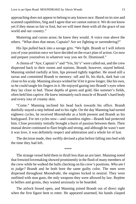approaching does not appear to belong to any known race. Based on its size and scanned capabilities, Stig and I agree that we cannot outrun it. We do not know yet if they mean us fair or foul, but we will meet them with all the grace of our world and our country."

Muttering and curses arose; he knew they would. A voice rose above the others. "What does that mean, Captain? Are we fighting or surrendering?"

His lips pulled back into a savage grin. "We fight. Brandt or I will inform you of your position once we have decided on the exact plan of action. Go now and prepare yourselves in whatever way you see fit. Dismissed."

A chorus of "Aye, Captain's" and "Yes, Sir's" were called out, and the crew dispersed back to their rooms and stations. Brandt, however, stayed behind. Manning smiled ruefully at him, lips pressed tightly together. He stood still a tarran and committed Brandt to memory: tall and fit, his thick, dark hair cut close to his scalp. Manning always wished he'd let it grow longer, like his own, so he could tangle his fingers in it. He enjoyed gazing into Brandt's eyes when they lay close in bed. Those depths of green and gold, like summer's fields, often held him captive. He knew intimately each muscle of Brandt's hard body and every iota of creamy skin.

"Come." Manning inclined his head back towards his office. Brandt dutifully stayed a step behind and to his right. On the day Manning had turned eighteen cycles, he received *Moondrake* as a birth present and Brandt as his bodyguard. For ten cycles now—and countless nights—Brandt had protected him. Close proximity initially brought a burst of passion between them. Their mutual desire continued to flare bright and strong, and although he wasn't sure it was love, it was definitely respect and admiration and a whole lot of lust.

The decision made, they swiftly devised a plan before falling into bed with the time they had left.

\*\*\*\*

The strange vessel held them in thrall less than an arn later. Manning noted that frenzied lovemaking showed prominently in the flush of many members of the crew while he walked the halls checking on his crew's positions. *Who am I to judge?* Brandt and he both bore the same guilty color. The men were dispersed throughout *Moondrake*, the engines locked in neutral. They were outfitted with stun guns, the only weapons they were allowed by law. Replete in bellies and groins, they waited anxiously to be boarded.

The airlock hissed open, and Manning joined Brandt out of direct sight when the first figure bent to enter. He appeared unarmed, his hands clasped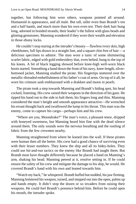together, but following him were others, weapons pointed all around. Humanoid in appearance, and all male. But tall, taller even than Brandt's ten and a half hands, and much more than his own even ten. Their dark hair hung long, adorned in braided strands; their leader's the fullest with glass beads and glinting gemstones. Manning wondered if they wore their wealth and elevation in those ebony locks.

He couldn't stop staring at the intruder's beauty— flawless ivory skin, high cheekbones, full lips drawn in a straight line, and a square chin free of hair —a delicious specimen to admire. The man wore a tunic of some shimmering scarlet fabric, edged with gold embroidery that, even belted, hung to the top of his knees. A bit of black legging showed before knee-high well-worn black boots started. Smoothing a hand down the front of his navy, knee-length, silverbuttoned jacket, Manning studied the pirate. His fingertips stuttered over the metallic-threaded embellishment of his father's coat of arms. On top of it all, he wore his crimson sash emblazoned with a drakken and moon in pearls.

The pirate took a step towards Manning and Brandt's hiding spot, his head cocked, listening. His crew raised their weapons in the direction of his gaze. He tipped his hand out to the side to halt them, his fingers long and thin. Manning considered the man's height and smooth appearance attractive—He wrenched his errant thought back and swallowed the lump in his throat. This man was the enemy, come to capture his cargo—perhaps him and his crew.

"Where are you, Moondrake?" The man's voice, a pleasant tenor, dripped with honeyed sweetness, but Manning heard him fine with the dead silence around them. The only sounds were the nervous breathing and the rustling of fabric from the few crewmen nearby.

Manning straightened from where he leaned into the wall. If these pirates were human then all the better. His crew had a good chance of surviving even with their lesser numbers. They knew the ship and all its hidey-holes. They could use hit-and-run tactics on the enemy like Brandt had taught them. But Brandt must have thought differently because he placed a hand on Manning's arm, shaking his head. Manning peered at it, resolve setting in. If he could ensure the safety of his crew and mitigate the damage to his ship, he would. He covered Brandt's hand with his own and leaned towards him.

"Watch my back," he whispered. Brandt huffed but nodded, his jaw firming. Manning holstered his weapon, turned, and stepped out into the open, palms up and hands empty. It didn't stop the dozen or so invaders from raising their weapons. He could feel Brandt's presence behind him. Before he could open his mouth, the intruder spoke.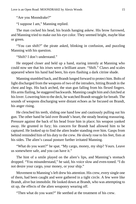"Are you Moondrake?"

"I suppose I am," Manning replied.

The man cocked his head, his braids hanging askew. His brow furrowed, and Manning tried to make out his eye color. They seemed bright, maybe blue or green.

"You can shift?" the pirate asked, blinking in confusion, and puzzling Manning with his question.

"Shift? I don't understand."

He stepped closer and held up a hand, staring intently at Manning who could now see that his irises were a brilliant azure. "Shift." Claws and scales appeared where his hand had been, his eyes flashing a dark citrine shade.

Manning stumbled back, and Brandt lunged forward to protect him. Bolts of light discharged from the weapons of two of the intruders, hitting Brandt in the chest and legs. His back arched, the stun gun falling from his flexed fingers. His arms flailing, he staggered backwards. Manning caught him and clutched at hislover. Lowering him to the deck, he watched Brandt struggle for breath. The sounds of weapons discharging were distant echoes as he focused on Brandt, his anger rising.

He clenched his teeth, sliding one hand low and cautiously pulling out his gun. The other hand he laid over Brandt's heart, the steady beating reassuring. Pressure against the back of his head froze him in place; his weapon yanked away. He grunted in fury; his concern for Brandt had allowed him to be captured. He looked up to find the alien leader standing over him. Gasps from behind reminded him of his duty to the crew. He slowly rose to his feet, fists at his sides. The alien's casual posture further irritated Manning.

"What do you want?" he spat. "My cargo, money, my ship? Yours. Leave us somewhere safe, and you can have it."

The hint of a smile played on the alien's lips, and Manning's stomach dropped. "You misunderstand," he said, his voice slow and even-toned. "I do not desire your cargo, your money, or your ship."

Movement to Manning'sleft drew his attention. His crew, every single one of them, had been caught and were gathered in a tight circle. A few were like Brandt, alive but immobile. He looked down at Brandt, who was attempting to sit up, the effects of the alien weaponry wearing off.

"Then what do you want?" He seethed at the treatment of his crew.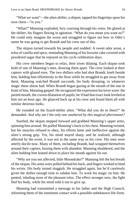"What we want"—the alien shifter, a *skipan*, tapped his fingertips upon his own chest—"is you."

"What?" Manning exploded, fury coursing through his veins. He glared at the shifter, his fingers flexing in agitation. "What do you mean you want us?" He could only imagine the worst and struggled to figure out how in Odin's name he was going to get Brandt and his crew out of this.

The skipan turned towards his people and nodded. A sweet odor arose, a *tolsu* of vanilla and spice, reminding Manning of his favorite cake covered with powdered sugar that he enjoyed on his cycle celebration days.

His crew members began to relax, their irises dilating. Each skipan took hold of one of Manning's men, drawing them apart. The crew looked at their captors with glazed eyes. The two shifters who had shot Brandt, knelt beside him, holding him effortlessly to the floor while he struggled to get away from them. Manning watched Brandt succumb, his body drooping, to whatever magic these aliens had. When Brandt began gazing at the mouth of the one in front of him, Manning gasped. He recognized the expression his lover wore: the parted mouth, the craven dilatation of pupils; he'd had that exact look leveled at him not an hour ago. He glanced back up at his crew and found them all with similar desirous looks.

He rounded on the lizard-shifter alien. "What did you do to them?" he demanded. *And why am I the only one unaltered by this magical pheromone?*

Startled, the skipan stepped forward and grabbed Manning's upper arms, spinning him around. He pulled Manning's back to his chest. Manning twisted, but his muscles refused to obey, his efforts lame and ineffective against the alien's strong grip. Yet, his mind stayed sharp, and he realized, although affected by the scent, it was not in the same way as his crew. His men were utterly docile now. Many of them, including Brandt, had wrapped themselves around their captors, kissing them with abandon. Manning shuddered, and the alien holding him leaned down to place his mouth against his ear.

"Why are you not affected, little Moondrake?" Manning felt the hot breath of the skipan. His arms were pulled behind his back, and fingers worked to bind his wrists. His body turned sluggish. He struggled again, but he'd carelessly given the shifter enough time to subdue him. To work his magic on him. He panted, inhaling more of the pleasant tolsu. The effect stronger now, the fight fled his body, while his mind told it not to give up.

Manning had transmitted a message to his father and the High Council, informing them of the imminent contact with a possible unbeknown life-form.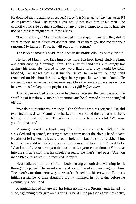He doubted they'd attempt a rescue. *I am only a bastard, not the heir, even if I am a favored child.* His father's love would not save him or his men. The council would rule against sending out anyone to attempt to retrieve him. He hoped a ransom might entice these aliens.

"Let my crew go," Manning demanded of the skipan. They said they didn't want money, but it deserved another shot. "Let them go, use me for your ransom. My father is King, he will pay for my return."

The leader shook his head, the stones in his braids clinking softly. "No."

He turned Manning to face him once more. His head tilted, studying him, one palm cupping Manning's chin. The shifter's hand was surprisingly hot against his skin. He figured if they were lizard-like, they would be coldblooded, like snakes that must sun themselves to warm up. A large hand remained on his shoulder, the weight heavy upon his weakened frame. He wanted to escape the heat and *his* nearness. Only the powers of persuasion upon his own muscles kept him upright. *I will not fall before them.*

The skipan nodded towards the hatchway between the two vessels. The shuffling of feet drew Manning's attention, and he glimpsed his crew being led offship.

"We do not require your money." The shifter's features softened. He slid two fingertips down Manning's cheek, and then pulled the tie from his hair, letting the strands fall free. The alien's smile was thin and rueful. "We want you for pleasure."

Manning jerked his head away from the alien's touch. "What?" He struggled and squirmed, twisting to get out from under the alien's hand. "No!" He almost fell when his legs refused to hold him, but the shifter grabbed him, hauling him tight to his body, smashing them chest to chest. "Cursed Loki. What kind of vile race are you that wants us for your entertainment?" he spat into the shifter's clothing, his cheek pressed to the man's hard pecs. "Are you mad? Pleasure slaves!" He received no reply.

Heat radiated from the shifter's body, strong enough that Manning felt it through his jacket. The sweet scent and warmth worked their magic on him. The alien's question about why he wasn't affected like his crew, and Brandt's initial resistance to their drugging aroma hummed in his brain, before he eventually succumbed.

Manning slipped downward, his joints giving way. Strong hands halted his slide, tightening their grip on his arms. A hard lump pressed against his belly,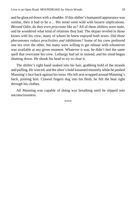and he glanced down with a shudder. If this shifter's humanoid appearance was similar, then it had to be a… His mind went wild with bizarre implications. *Blessed Odin, do they even procreate like us?* All of these shifters were male, and he wondered what kind of relations they had. The skipan reveled in those kisses with his crew, many of whom he knew enjoyed both sexes. *Did those pheromones reduce proclivities and inhibitions?* Some of his crew preferred one sex over the other, but many were willing to get release with whomever was available at any given moment. Whatever it was, he didn't feel the same spell that overcame his crew. Lethargy had set in instead, and his mind began shutting down. He shook his head to try to clear it.

The shifter's right hand snaked into his hair, grabbing hold of the strands and pulling. He winced, and the alien's hold loosened minutely while he pushed Manning's face back against his torso. His left arm wrapped around Manning's back, pinning him. Clawed fingers dug into his flesh; he felt the heat right through his clothes.

All Manning was capable of doing was breathing until he slipped into unconsciousness.

\*\*\*\*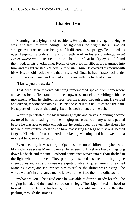#### **Chapter Two**

#### *Drottinn*

<span id="page-18-0"></span>Manning woke lying on soft cushions. He lay there unmoving, knowing he wasn't in familiar surroundings. The light was too bright, the air smelled strange, even the cushions he lay on felt different, less springy. He blinked his eyes, keeping his body still, and discreetly took in his surroundings. *Sweet Freya, where am I?* He tried to raise a hand to rub at his dry eyes and found them tied, wrists overlapping. Recall of the prior horrific hours slammed into him, and his gut twisted. *Helheim, I'm on their ship.* He covered his mouth with his wrists to hold back the bile that threatened. Once he had his stomach under control, he swallowed and rubbed at his eyes with the back of a hand.

"I know you are awake."

That deep, silvery voice Manning remembered spoke from somewhere above his head. He craned his neck upwards, muscles trembling with the movement. When he shifted his legs, spasms ripped through them. He yelped and cursed, tendons screaming. He tried to curl into a ball to escape the pain. He squeezed his eyes shut and gritted his teeth to endure the ache.

Warmth penetrated into his trembling thighs and calves. Manning became aware of hands kneading into the stinging muscles, but many tarrans passed before he was able to relax enough that he could open his eyes. The alien who had held him captive knelt beside him, massaging his legs with strong, heated fingers. His whole focus centered on relaxing Manning, and it allowed him a moment to observe his captor.

Even kneeling, he was a large skipan—some sort of shifter—maybe lizardlike with those scales Manning remembered seeing. His ebony braids hung long down his back, and the small, colorful gemstones woven into his hair flashed in the light when he moved. They partially obscured his face, but high, pale cheekbones and a straight nose were quite visible. A quiet humming reached Manning's ears, and it surprised him to realize the shifter was singing. The words weren't in any language he knew, but he liked their melodic sound.

"What are you?" he asked once he was able to draw a steady breath. The singing halted, and the hands stilled on his legs. The skipan tilted his head to look at him from behind his braids, one blue eye visible and piercing, the other peeking through the strands.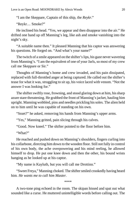"I am the Skeppare, Captain of this ship, the *Reykr*."

"Reykr… Smoke?"

He inclined his head. "Yes, we appear and then disappear into the air." He drifted one hand up off Manning's leg, like ash and smoke vanishing into the night's sky.

"A suitable name then." It pleased Manning that his captor was answering his questions. He forged on. "And what's your name?"

The twitch of a smile appeared on the shifter's lips, his gaze never wavering from Manning's. "I am the equivalent of one of your Jarls, so most of my crew call me Skeppare or Sir."

Thoughts of Manning's home and crew invaded, and his pain dissipated, replaced with full-throttled anger at being captured. He called out the shifter's tease for what it was, struggling to sit up, his voice laced with venom. "Not the answer I was looking for."

The shifter swiftly rose, frowning, and stood glaring down at him, his sharp azure stare threatening. He grabbed the front of Manning's jacket, hauling him upright. Manning wobbled, pins and needles prickling his soles. The alien held on to him until he was capable of standing on his own.

"Ssset?" he asked, removing his hands from Manning's upper arms.

"Yes," Manning gritted, pain slicing through his calves.

"Good. Now kneel." The shifter pointed to the floor before him.

"What?"

He reached and pushed down on Manning's shoulders, fingers curling into his collarbone, directing him down to the wooden floor. Still not fully in control of his own body, the ache overpowering and his mind reeling, he allowed himself to drop. He put one knee down and then the other, his bound wrists hanging as he looked up at his captor.

"My name is Kayluth, but you will call me Drottinn."

"Sweet Freya," Manning choked. The shifter smiled crookedly having heard him. *He wants me to call him Master.*

\*\*\*\*

A two-tone ping echoed in the room. The skipan hissed and spat out what sounded like a curse. He muttered unintelligible words before calling out. The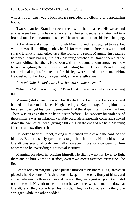whoosh of an entryway's lock release preceded the clicking of approaching boots.

Two skipan led Brandt between them with chain leashes. His wrists and ankles were bound in heavy shackles, all linked together and attached to a braided metal collar around his neck. He stared at the floor, his head hanging.

Adrenaline and anger shot through Manning and he struggled to rise, but with limbs still unwilling to obey he fell forward onto his forearms with a loud smack. Brandt's head jerked up at the sound, and seeing Manning, his features hardened, hands balling into fists. Manning watched as Brandt peered at the skipan holding his tethers. He'd been with his bodyguard long enough to know he was weighing the options and calculating his next move. Brandt sprang forward, making it a few steps before his legs were pulled out from under him. He crashed to the floor, his eyes wild, a mere length away.

*Blessed Odin, he looks wrecked, but still so damn beautiful.*

"Manning? Are you all right?" Brandt asked in a harsh whisper, reaching out.

Manning slid a hand forward, but Kayluth grabbed his jacket's collar and hauled him back to his knees. He glanced up at Kayluth, rage filling him—his lover so close, yet his touch denied—to find the skipan staring down at him. There was an edge there he hadn't seen before. The capacity for violence of these shifters was an unknown variable. Kayluth released his collar and stroked down the back of his head, giving a little tug on the ends of his hair. Manning flinched and swallowed hard.

He looked back at Brandt, taking in his tensed muscles and the hard lock of his jaw. Brandt's steely gaze tore straight into his heart. He could see that Brandt was sound of body, mentally however… Brandt's concern for him appeared to be overriding his survival instincts.

Manning breathed in, bracing himself. He didn't want his lover to fight them and be hurt. *I want him alive, even if we aren't together.* "I'm fine," he lied.

Brandt relaxed marginally and pushed himself to his knees. His guards each placed a hand on one of his shoulders to keep him there. A flurry of hisses and clicks between the three skipan and the way they were gesturing at Brandt did not bode well. Kayluth made a motion between the two skipan, then down at Brandt, and they considered his words. They looked at each other, one shrugged while the other nodded.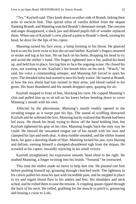"Try," Kayluth said. They knelt down on either side of Brandt, linking their arms to encircle him. That spiced tolsu of vanilla drifted from the skipan flanking Brandt, and Manning watched Brandt's demeanor morph. The concern and anger disappeared, a slack jaw and dilated pupils full of wonder replaced them. When one of Kayluth's crew placed a palm to Brandt's cheek, turning his head, he dove for the lips of his captor.

Manning turned his face away, a lump forming in his throat. He glanced back to see his lover twist to kiss the second shifter. Kayluth's fingers returned to stroke and tug at his hair. He sat back on his heels, dropping his head to try and avoid the shifter's hand. The fingers tightened into a fist, pulled his head up, and held him in place, forcing him to face the ongoing scene. He closed his eyes, not wanting to see. Kayluth's hot breath blew on his neck. "Watch," he said, his voice a commanding whisper, and Manning felt forced to open his eyes. The dreaded tolsu had started to turn his body traitor. He stared at Brandt, at how the two aliens had him twined in their arms, and blood rushed to his groin. His heart thundered and his mouth dropped open, gasping for air.

Kayluth stepped in front of him, blocking his view. He cupped Manning's chin and pulled him up to sit tall on his knees before bending down to cover Manning's mouth with his own.

Affected by the pheromone, Manning's mouth readily opened to the invading tongue as it swept past his lips. The sound of scuffling distracted Kayluth and he softened the kiss. Manning hazily realized that Brandt had been led away. He shook his head, trying to throw off the hand holding him, but Kayluth tightened his grip on his chin. Manning fought back the only way he could. He shoved the unwanted tongue out of his mouth with his own and clamped his lips and teeth shut. A deep rumble sounded, and the shifter leaned back, his gaze a dazzling shade of blue. Manning locked his jaw, eyes blazing and defiant, earning himself a slumped-shouldered sigh from the skipan. He scowled at his captor, inwardly rejoicing in his small victory.

Kayluth straightened, his expression smooth, head tilted to the right. He studied Manning, a finger twisting into his braids. "Ssstand," he instructed.

This time the shifter made no move to help him rise. He planted one foot before pushing himself up, groaning through clenched teeth. The tightness in his calves pulled his muscles taut with incredible pain, and he stepped in place to try and regain blood flow to his ankles and feet. His shoulders and neck ached, and he rolled them to ease the tension. A crippling spasm ripped through the back of his neck. He yelled, grabbing for the muscle to pinch it, grimacing and hissing a curse to Loki.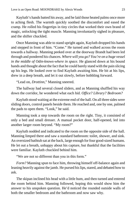Kayluth's hands batted his away, and he laid those heated palms once more to aching flesh. The warmth quickly soothed the discomfort and eased the cramp. He rolled his fingertips in tiny circles that worked their own brand of magic, unlocking the tight muscle. Manning involuntarily sighed in pleasure, and the shifter chuckled.

Once Manning was able to stand upright again, Kayluth dropped his hands and stepped in front of him. "Come." He turned and walked across the room towards a hallway. Manning peeked over at the doorway Brandt had been led through and pondered his chances. *Where will you go? You're on a huge vessel in the middle of Odin-knows-where in space.* He glanced down at his bound hands and thought about the fact that he could barely stand with the pain slicing up his legs. He looked over to find Kayluth awaiting him. He bit at his lips, drew in a deep breath, and let it out slowly, before hobbling forward.

"Lead on, *Drottinn*," Manning sneered.

The hallway had several closed sliders, and as Manning shuffled his way down the corridor, he wondered what each hid. *Office? Library? Bedroom?*

Kayluth stood waiting at the extreme end of the hall. On all three sides were sliding doors, control panels beside them. He reached and, one by one, palmed the pads to open them. "Look," he said.

Manning took a step towards the room on the right. Tiny, it consisted of only a bed and small dresser. A manual pocket door, half-opened, led into another larger room beyond. "My room?"

Kayluth nodded and indicated to the room on the opposite side of the hall. Manning limped there and saw a standard bathroom: toilet, shower, and sink. An oversized bathtub sat at the back, large enough for four good-sized humans. He let out a breath, unhappy about his capture, but thankful that the facilities were familiar. Kayluth chuckled behind him.

"We are not so different than you in this form."

*Form?* Manning spun to face him, throwing himself off-balance again and leaning heavily against the jamb. He pursed his lips, stared, and debated how to ask.

The skipan inclined his head with a little hum, and then turned and entered the room behind him. Manning followed, hoping this would show him the answer to his unspoken question. He'd noticed the rounded outside walls of both the smaller bedroom and the bathroom and now saw why.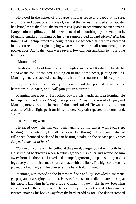He stood in the center of the large, circular space and gaped at its size, enormous and open. Straight ahead, against the far wall, resided a four-poster bed lying low to the floor, the mattress easily able to accommodate ten humans. Large, colorful pillows and blankets in need of smoothing lay strewn upon it. Manning smirked, thinking of his own rumpled bed aboard *Moondrake*, but thinking of his ship turned his thoughts dark. He schooled his features, breathed in, and turned to the right, spying what would be his small room through the pocket door. Along the walls were several low cabinets and back to his left the bathing area.

"Moondrake?"

He shook his head free of errant thoughts and faced Kayluth. The shifter stood at the foot of the bed, holding on to one of the posts, pursing his lips. Manning's nerves steeled at seeing this hint of nervousness on his captor.

Kayluth's features suddenly hardened, and he pointed towards the bathroom. "Go. Strip, and I will join you in a tarran."

Manning froze. *Strip?* He looked down at his hands, an idea forming. He held up his bound wrists. "Might be a problem." Kayluth crooked a finger, and Manning moved to stand in front of him, hands raised. He was untied and spun around. With a slight push on his shoulder, Kayluth repeated the command. "Go."

And Manning went.

He raced down the hallway, pain lancing up his calves with each step, heading for the entryway Brandt had been taken through. He slammed into it at full speed, bounced back and began beating a palm on the release pad. *Sweet Freya, let me out of here!*

"Come on, come on," he yelled at the portal, banging on it with both fists. He stumbled backwards when Kayluth grabbed his collar and wrenched him away from the door. He kicked and stomped, ignoring the pain spiking up his legs every time his feet made hard contact with the floor. The high collar on his jacket choked him, and he clawed at the hand holding him.

Manning was tossed to the bathroom floor and lay sprawled a moment, gasping and massaging his throat. He was furious, but he didn't dare look up at his captor, knowing he'd see a rage to match his own. His heavy breathing echoed loud in the small space. The toe of Kayluth's boot poked at him, and he twisted, moving his body away from the hard, prodding toe. The skipan stepped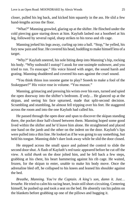closer, pulled his leg back, and kicked him squarely in the ass. He slid a few hand-lengths across the floor.

"What?" Manning growled, glaring up at the shifter. He flinched under the cold piercing gaze staring down at him. Kayluth lashed out a bootheel at his leg, followed by several rapid, sharp strikes to his torso and rib cage.

Manning jerked his legs away, curling up into a ball. "Stop," he yelled, his fury now pain and fear. He covered his head, huddling to make himself less of a target.

"Why?" Kayluth sneered, his sole biting deep into Manning's hip, rocking his body. "Why ssshould I ssstop? I asssk for one sssimple ssshower, and you tried to run. To essscape." His voice hissed with anger, the sound harsh and grating. Manning shuddered and covered his ears against the cruel sound.

"You think thisss isss sssome game to play? Ssseek to make a fool of the Ssskeppare?" His voice rose in volume. "You mussst."

Manning, grimacing and pressing his wrists over his ears, turned and spied the open doorway into the shifter's bedroom. *If only…* He glanced up at the skipan, and seeing his face upturned, made that split-second decision. Scrambling and stumbling, he almost fell tripping over his feet. He staggered across the room and into the one Kayluth had called his.

He passed through the open door and spun to discover the skipan standing there, the pocket door half-closed between them. Manning hoped some good lived within the shifter and he'd leave him alone. He straightened and placed one hand on the jamb and the other on the indent on the door. Kayluth's lips were pulled into a thin line. He looked as if he was going to say something, but held his tongue. Manning didn't dare look away while he slid the door closed.

He stepped across the small space and palmed the control to slide the second door shut. A flash of Kayluth's red tunic appeared before he cut off the view. A solid *thunk* on the door jolted him, and he fell back a few steps, grabbing at his chest, his heart hammering against his rib cage. He waited, frozen, for the skipan to enter, unable to make his body move. Once the adrenaline bled off, he collapsed to his knees and leaned his shoulder against the bed.

*Breathe, Manning. You're the Captain. A king's son, damn it. Just… breathe.* He tried to calm his racing heart, brain still short-circuiting. Centering himself, he pushed up and took a seat on the bed. He absently ran his palms on the blankets before grabbing up one of the pillows and hugging it.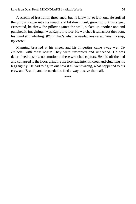A scream of frustration threatened, but he knew not to let it out. He stuffed the pillow's edge into his mouth and bit down hard, growling out his anger. Frustrated, he threw the pillow against the wall, picked up another one and punched it, imagining it was Kayluth's face. He watched it sail across the room, his mind still whirling. *Why?* That's what he needed answered. *Why my ship, my crew?*

Manning brushed at his cheek and his fingertips came away wet. *To Helheim with these tears!* They were unwanted and unneeded. He was determined to show no emotion to these wretched captors. He slid off the bed and collapsed to the floor, grinding his forehead into his knees and clutching his legs tightly. He had to figure out how it all went wrong, what happened to his crew and Brandt, and he needed to find a way to save them all.

\*\*\*\*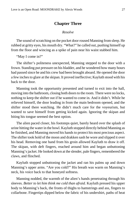#### **Chapter Three**

#### *Resolve*

<span id="page-26-0"></span>The sound of scratching on the pocket door roused Manning from sleep. He rubbed at gritty eyes, his mouth dry. "What?" he called out, pushing himself up from the floor and wincing as a spike of pain near his waist stabbed him.

"May I come in?"

The shifter's politeness unexpected, Manning stepped to the door with a frown. Standing put pressure on his bladder, and he wondered how many hours had passed since he and his crew had been brought aboard. He opened the door a few inches to glare at the skipan. It proved ineffective; Kayluth stood with his back to the door.

Manning took the opportunity presented and turned to exit into the hall, moving into the bathroom, closing both doors to the room. There were no locks, nothing to keep the shifter out if he wanted to come in. And it didn't. While he relieved himself, the door leading in from the main bedroom opened, and the shifter stood there watching. He didn't much care for the voyeurism, but wanted to save himself from getting kicked again. Ignoring the skipan and biting his tongue seemed the best option.

The alien paced closer, his footsteps quiet, barely heard over the splash of urine hitting the water in the bowl. Kayluth stopped directly behind Manning as he finished, and Manning moved his hands to protect his most precious aspect. The shifter took hold of the moon and drakken sash he wore and slipped it over his head. Removing one hand from his groin allowed Kayluth to draw it off. The skipan, with deft fingers, reached around him and began unbuttoning Manning's jacket. He looked down at the slender, pale fingers, remembered the claws, and flinched.

Kayluth stopped unbuttoning the jacket and ran his palms up and down Manning's upper arms. "Are you cold?" His breath was warm on Manning's neck, his voice back to that honeyed softness.

Manning nodded, the warmth of the alien's hands penetrating through his sleeves. *Better to let him think me cold than afraid.* Kayluth pressed his upper body to Manning's back, the fronts of thighs to hamstrings and ass, fingers to collarbone. Fingertips dipped below the fabric of his undershirt, paths of heat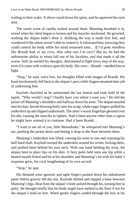trailing in their wake. A shiver raced down his spine, and he squeezed his eyes shut.

The sweet scent of vanilla wafted around them. Manning breathed it in, vexed when his chest began to loosen and his muscles slackened. He growled, wishing the skipan hadn't done it, disliking the way it made him feel, and wondered if the aliens weren't able to control it. It infuriated him, knowing they could control his body while his mind remained sane… *If I'd gone mindless like Brandt had, or my crew, then what was I to care?* But no, he had the unfortunate ability to retain full use of his faculties, and that made it all the worse. Still, he steeled his thoughts, determined to fight every step of the way, even if it came with violence upon his body. His crew—Brandt—needed him to fight.

"Stop," he said, voice low, his thoughts filled with images of Brandt. His head involuntarily fell back to the skipan's pecs while fingers resumed their job of undressing him.

Kayluth chuckled as he unfastened the last button and took hold of the lapels. "Why would I stop? I finally have you where I want you." He slid the jacket off Manning's shoulders and halfway down his arms. The skipan nuzzled into his hair, breath blowing hotly onto his scalp, while eager fingers pulled his undershirt up and slipped underneath. The alien's warm fingertips ghosted over his abs, causing the muscles to tighten. Had it been anyone other than a captor he might have wanted it to continue. Had it been Brandt…

"I want to see all of you, little Moondrake," he whispered into Manning's ear, pushing the jacket down and letting it drop to the floor between them.

Manning's undershirt was lifted, causing his arms to rise and exposing his half-hard shaft. Kayluth twisted the undershirt around his wrists, locking them, and pushed them behind his own neck. With one hand holding his wrist, the skipan bent to place lips on his skin. A fiery palm held onto one hip while a heated mouth licked and bit at his shoulder, and Manning's ire with his body's response grew, his cock lengthening of its own accord.

"Stop," he spat.

His demand went ignored, and agile fingers pushed down his unbuttoned pants before gravity did the rest. Kayluth shifted and slipped a knee between Manning's legs. Heat from the skipan's body pulsed through his, turning him to putty. He thought briefly that his body might have melted to the floor if not for the skipan's hold on him. When gentle fingers carded through the hair at his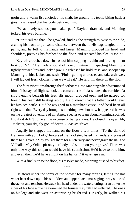groin and a warm fist encircled his shaft, he ground his teeth, biting back a groan, distressed that his body betrayed him.

"What lovely sounds you make, pet," Kayluth drawled, and Manning jerked, his eyes bulging.

"Don't call me that," he growled, finding the strength to twist to the side, arching his back to put some distance between them. His legs tangled in his pants, and he fell to his hands and knees. Manning dropped his head and shoulders, pressing his forehead to the floor, and repeated his plea. "Don't."

Kayluth crouched down in front of him, cupping his chin and forcing him to look up. "*Hm*." He made a sound of noncommitment, inspecting Manning's tightly pressed lips and locked jaw. He released his hold, rose, and scooped up Manning's shirt, jacket, and sash. "Finish getting undressed and take a shower. I will lay out fresh clothes, then we will eat." He left him there on the floor.

The faint vibrations through the floorboards into Manning's hands reminded him of his days of flight school, the camaraderie of classmates, the rumble of a ship's engine beneath his feet. His mouth dropped open and he gasped for breath, his heart still beating rapidly. He'd known that his father would never let him see battle. He'd be assigned to a merchant vessel, and he'd been all right with that. Every day brought something new, but now it appeared he was on the greatest adventure of all. A new species to learn about. Manning scoffed. If only it didn't come at the expense of being slaves. He closed his eyes. Ah, Trickster, you sly, sly god of deceit*. Pleasure slaves.*

Angrily he slapped his hand on the floor a few times. "To the dark of Helheim with you, Loki," he cursed the Trickster, fisted his hands, and pressed them to his eyes. "May you rot there for all eternity and never grace the halls of Valhalla. May Odin spit on your body and stomp on your grave." There was only one way this skipan would have his submission. He'd have to bind him, and even then, he'd have a fight on his hands. *I'll never give in.*

With a final slap to the floor, his resolve made, Manning pushed to his feet.

\*\*\*\*

He stood under the spray of the shower for many tarrans, letting the hot water beat down upon his shoulders and upper back, massaging away some of the aches and tension. He stuck his head under the water, letting it run down the sides of his face while he examined the bruises Kayluth had inflicted. The ones on his legs and ribs were an astonishing bright red. Gingerly, he walked his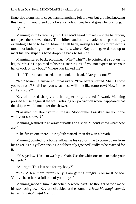fingertips along his rib cage, thankful nothing felt broken, but growled knowing this heelprint would end up a lovely shade of purple and green before long.

"Oh."

Manning spun to face Kayluth. He hadn't heard him return to the bathroom, nor open the shower door. The shifter studied his marks with parted lips, extending a hand to touch. Manning fell back, raising his hands to protect his torso, not bothering to cover himself elsewhere. Kayluth's gaze darted up to meet his, the skipan's hand dropping back to his side.

Manning stared back, scowling. "What? This?" He pointed at a spot on his leg. "Or this?" He pointed to his ribs, snarling. "Did you not expect to see your handiwork on my body? Where *you* kicked me?"

"I…" The skipan paused, then shook his head. "Are you done?"

"No," Manning answered impassively. "I've barely started. Shall I show you each one? Shall I tell you what these will look like tomorrow? How I'll be stiff and sore?"

Kayluth hissed sharply and his upper body lurched forward. Manning pressed himself against the wall, relaxing only a fraction when it appeared that the skipan would not enter the shower.

"I asssked not about your injuriesss, Moondrake. I asssked are you done with your ssshower?"

Manning gestured to an array of bottles on a shelf. "I don't know what these are."

"The firssst one there…" Kayluth started, then drew in a breath.

Manning pointed to a bottle, allowing his captor time to come down from his anger. "This yellow one?" He deliberately groaned loudly as he reached for it.

"Yes, yellow. Use it to wash your hair. Use the white one next to make your hair soft."

"All right. This last one for my body?"

"Yes. A few more tarrans only. I am getting hungry. You must be too. You've been here a full one of your days."

Manning gaped at him in disbelief. A whole day! The thought of food made his stomach growl. Kayluth chuckled at the sound. *At least his laugh sounds better than that awful hissing.*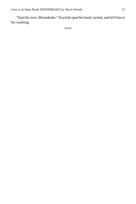"Quickly now, Moondrake." Kayluth spun his hand, turned, and left him to his washing.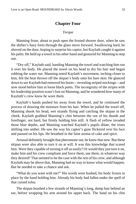#### **Chapter Four**

#### *Torque*

<span id="page-31-0"></span>Manning froze, about to push open the frosted shower door, when he saw the shifter's hazy form through the glass move forward. Swallowing hard, he shoved on the door, hoping to surprise his captor, but Kayluth caught it against his palm. He held up a towel in his other hand and gestured for Manning to step out.

"Dry off," Kayluth said, handing Manning the towel and watching him run it over his body. He placed the towel on his head to dry his hair and began rubbing the water out. Manning noted Kayluth's movement, inching closer to him, felt the heat thrown off the skipan's body onto his bare skin. He glanced down to see Kayluth had removed his boots—revealing striped stockings—and now stood before him in loose black pants. The incongruity of the stripes with his leadership position wasn't lost on Manning, and he wondered how many of Kayluth's crew knew he wore them.

Kayluth's hands pushed his away from the towel, and he continued the process of drawing the moisture from his hair. When he pulled the towel off, Manning shook his head, wet strands flying and catching the skipan in the cheek. Kayluth grabbed Manning's chin between the vee of his thumb and forefinger, not hard, but firmly holding him still. A flash of yellow invaded those blue depths, and Manning watched Kayluth's pupils dilate, the irises shifting into amber. He saw the way his captor's gaze flickered over his face and paused on his lips. He breathed in the faint aroma of cake and spice.

Arousal definitely brought that pheromone out; he knew that now. But these skipan were also able to turn it on at will. It was this knowledge that scared him. Were they capable of turning it off as easily? Or would they just turn it on, make him and his crew compliant and force them, use them, in whatever way they desired? That seemed to be the case with the rest of his crew, and although Kayluth may be above that, Manning had no way to know what would happen. But he needed to take a chance and ask.

"What do you want with me?" His words were hushed, his body frozen in place by the hand holding him. Already his body had fallen under the spell of that cursed tolsu.

The skipan brushed a few strands of Manning's long, damp hair behind an ear, before wrapping his arm around his upper back. The hand on his chin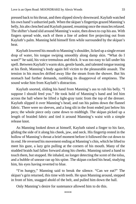pressed back to his throat, and then slipped slowly downward. Kayluth watched his own hand's unhurried path. When the skipan's fingertips grazed Manning's belly, his abs clenched and Kayluth paused, resuming once the muscles relaxed. The shifter's hand slid around Manning's waist, then down to cup his ass. With fingers spread wide, each of them a line of ardent fire projecting out from Kayluth's palm. Manning held himself firm while surrounded by the skipan's heat.

Kayluth lowered his mouth to Manning's shoulder, licked up a single errant drop of water, his tongue swiping smoothly along damp skin. "What do I want?" he said, his voice tremulous and thick. It was too easy to fall under his spell. Between Kayluth's warm skin, gentle hands, and talented tongue teasing at his flesh, Manning's body again fell victim to the pleasurable assault. The tension in his muscles drifted away like the steam from the shower. But his stomach had further demands, rumbling its disapproval of emptiness. The sound woke him from Kayluth's distraction.

Kayluth snorted, sliding his hand from Manning's ass to rub his belly. "I suppose I should feed you." He took hold of Manning's hand and led him across the hall where he lifted a light-gray tunic from the top of the dresser. Kayluth slipped it over Manning's head, and ran his palms down the flannel fabric. There were no sleeves, and a long slit in the front ended just below his pecs; the whole piece only came down to midthigh. The skipan picked up a length of braided fabric and tied it around Manning's waist with a simple release knot.

As Manning looked down at himself, Kayluth raised a finger to his face, gliding the side of it along his cheek, jaw, and neck. His fingertip rested in the hollow of Manning's throat a brief moment before it followed the cut down to its end. He reversed his movement ending at Manning's chin, which he lifted to meet his gaze, a lazy grin pulling at the corners of his mouth. Many of the studded braids had fallen forward along his cheeks. Manning raised a hand to touch them, but stopped. He inhaled, no longer detecting the scent of the tolsu, and a bubble of unease ran up his spine. The skipan cocked his head, studying him, his eyes having reverted to blue.

"I'm hungry," Manning said to break the silence. "Can we eat?" The skipan's grin returned, this time with teeth. He spun Manning around, stepped in front of him, snagged ahold of the belt, and pulled him down the hall.

Only Manning's desire for sustenance allowed him to do this.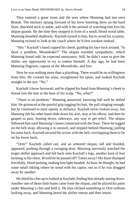They entered a great room and the area where Manning had last seen Brandt. The memory sprang forward of his lover kneeling there on the hard floor, shackled neck to ankle, and with it the arousal of watching him kiss his skipan guards. By the time they stopped in front of a small, blond wood table, Manning breathed shallowly. Kayluth turned to him, but to avoid his scrutiny, Manning twisted to look at the couch where he'd first awoken instead.

"Hm." Kayluth's hand cupped his cheek, guiding his face back around. "Is there a problem, Moondrake?" The skipan sounded sympathetic, which Manning found odd; he expected annoyance. Still, he didn't want to give the shifter any opportunity to try to endear himself. A day ago, he had been Manning Dagrson, captain of the *Moondrake*, and free.

Now he was nothing more than a plaything. There would be no willingness from him. He crossed his arms, straightened his spine, and looked Kayluth straight in the eye. "No."

Kayluth's brow furrowed, and he slipped his hand from Manning's cheek to thread into the hair at the base of his scalp. "No, what?"

"There is no problem," Manning answered, knowing full well he defied him. He grimaced at the painful grip tugging his hair, the pull stinging enough, but he continued to stare openly in defiance. Kayluth never looked away, but Manning felt his other hand slide down his arm, stop at his elbow, and then he gasped in pain, leaning down, sideways, any way to get relief. The skipan followed him until Manning's knees connected with the floor. There he tugged on the belt strap, allowing it to unravel, and stepped behind Manning, pulling his arms back. Kayluth secured his wrists with the belt, overlapping them to lie on his lower back.

"Orm!" Kayluth called out, and an armored skipan, tall and braided, appeared, pushing through a swinging door. Manning nervously watched the larger shifter approach and fell back onto Kayluth's legs, another knot of fear forming in his chest. Would he be passed off? Taken away? His heart thumped forcefully, blood pulsing, making him light-headed. At least, he thought, he had some small inkling where he stood with his captor, not so if he was dragged away by another.

He tilted his chin up to looked at Kayluth, finding him already staring down. Another one of those little hums came from the skipan, and he placed his palm under Manning's chin and held it. He hiss-clicked something to Orm without looking away, and Manning heard the shifter retreat and then return.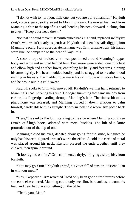"I do not wish to hurt you, little one, but you are quite a handful," Kayluth said, voice sugary, sickly sweet to Manning's ears. He moved his hand from Manning's chin to the top of his head, bending his neck forward, tucking chin to chest. "Keep your head down."

Not that he could move it. Kayluth pulled back his hand, replaced swiftly by Orm's, who wasn't nearly as gentle as Kayluth had been, his nails digging into Manning's scalp. How appropriate his name was Orm, a snake truly; his hands were like ice compared to the heat of Kayluth's.

A second rope of braided cloth was positioned around Manning's upper body and arms and secured behind him. Two more were added, one midchest and elbow high and another lower, encircling his belly and forearms, pinning his arms tightly. His heart thudded loudly, and he struggled to breathe, blood rushing in his ears. Each added rope made his skin ripple with goose bumps, and he broke out in a cold sweat.

Kayluth spoke to Orm, who moved off. Kayluth's warmer hand returned to Manning's head, stroking this time. He began humming that same melody from earlier, his fingertips carding through Manning's hair. The tiniest bit of his pheromone was released, and Manning gulped it down, anxious to calm himself, barely able to think straight. The tolsu took hold when Orm paced back in.

"Here," he said to Kayluth, standing to the side where Manning could see Orm's calf-high boots, adorned with metal buckles. The hilt of a knife protruded out of the top of one.

Manning closed his eyes, debated about going for the knife, but since he only had his teeth, figured it wasn't worth the effort. A cold thin circle of metal was placed around his neck. Kayluth pressed the ends together until they clicked, then spun it around.

"It looks good on him," Orm commented dryly, bringing a sharp hiss from Kayluth.

"You may go, Orm," Kayluth gritted, his voice full of tension. "Sssend Lian in with our meal."

"Yes, Skeppare." Orm retreated. He'd only been gone a few tarrans before someone else entered. Manning could only see slim, bare ankles, a woman's feet, and hear her place something on the table.

"Thank you, Lian."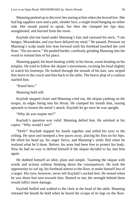Manning peeked up to discover her staring at him when she bowed low. She had big sapphire eyes and a pale, slender face, a single braid hanging on either side. Her mouth parted to speak, but then she clamped her lips shut, straightened, and hurried from the room.

Kayluth slid one hand under Manning's hair and caressed his neck. "I am hungry, Moondrake, and you have delayed my meal." He paused. Pressure on Manning's scalp made him lean forward until his forehead touched the cool floor. "Do not move." He pushed harder, carelessly grinding Manning into the wood to remind him of his place.

Manning gaped, his heart beating wildly in his throat, sweat beading on his temples. He tried to follow the skipan's movements, twisting his head slightly to watch his footsteps. He looked through the strands of his hair, saw striped feet move to the couch and then back to the table. The heavy *plop* of a cushion startled him.

"Kneel here."

Manning held still.

Kayluth stepped closer and Manning cried out, the skipan yanking on the torque, its edges biting into his throat. He clamped his mouth shut, rearing upwards to loosen the metal's attack. Kayluth let go once he was upright.

"Why do you ssspite me?"

Kayluth's question was valid: Manning defied him. He smirked at his captor. "Why would I not?"

"Drek!" Kayluth slapped his hands together and rolled his eyes to the ceiling. He spun and stomped a few paces away, placing his fists on his hips. He tilted his head up, his anger fierce, and Manning's smile fled when he realized what he'd done. Before, his arms had been free to protect his body. Now he had no way to defend himself if the skipan decided to lay into him again.

He dubbed himself an idiot, plain and simple. Taunting the skipan with words and actions without thinking about the consequences. He took the opportunity to curl up, his forehead almost to the floor, to make himself less of a target. His eyes, however, never left Kayluth's socked feet. He tensed when he saw those feet turn towards him. Booted or not, the strength behind them would inflict more damage.

Kayluth huffed and walked to the chair at the head of the table. Manning released the breath he held when he heard the scrape of its legs on the floor.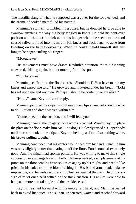The metallic clang of what he supposed was a cover for the food echoed, and the aroma of cooked meat filled his nostrils.

Manning's stomach grumbled in response, but he doubted he'd be able to swallow anything the way his belly tangled in knots. He held his bent-over position and tried not to think about his hunger when the scents of the food caused saliva to flood into his mouth. His knees and back began to ache from kneeling on the hard floorboards. When he couldn't hold himself still any longer, he began curling his fingers.

"Moondrake?"

His movements must have drawn Kayluth's attention. "Yes," Manning answered, shifting again, but not moving from his spot.

"You hate me?"

Manning scoffed into the floorboards. "Shouldn't I? You have me on my knees and expect me to…" He growled and muttered under his breath. "Loki has set upon me and my men. Perhaps I should be content; we are alive."

"Hm…" came Kayluth's soft reply.

Manning pictured the skipan with those pursed lips again, not knowing what to do. Elation and dread warred within him.

"Come, kneel on the cushion, and I will feed you."

Manning froze at the imagery those words provided. Would Kayluth place the plate on the floor, make him eat like a dog? He slowly raised his upper body until he could look at the skipan. Kayluth held up a slice of something white, his brows pulling together.

Manning concluded that his captor would feed him by hand, which to him was only slightly better than eating it off the floor. Food sounded extremely good. And the skipan had spoken politely. He was willing to make this single concession in exchange for a full belly. He knee-walked, each placement of his joints on the floor sending fresh spikes of agony up his thighs, and needle-like pricks in his soles from the blood rushing in. His bound arms made balance impossible, and he wobbled, clenching his jaw against the pain. He bit back a sigh of relief once he'd settled on the thick cushion. His ankles were able to hang at a more natural angle and the prickles eased.

Kayluth reached forward with his empty left hand, and Manning leaned back to avoid his touch. The skipan, undeterred, waited and reached forward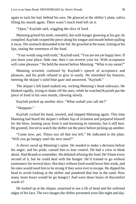again to tuck his hair behind his ears. He glanced at the shifter's plate, saliva filling his mouth again. There wasn't much food left on it.

"Open," Kayluth said, wiggling the slice of food.

Manning gritted his teeth, resentful, but with hunger gnawing at his gut, he complied. Kayluth swiped the piece along his tongue and mouth before pulling it away. His stomach demanded to be fed. He growled at the tease, licking at his lips, tasting the sweetness of the food.

"Your words rang with truth," Kayluth said. "You are not yet happy here. If you learn your place, little one, then I can reverse your lot. With acceptance will come pleasure." He held the morsel before Manning. "What is my name?"

Manning scowled, confused by Kayluth's speech of acceptance and pleasure, and his pride refused to give in easily. He smoothed his features, meeting the skipan's solid blue gaze and answered, "Kayluth."

The skipan's left hand snaked out, rocking Manning's head sideways. He blinked rapidly, trying to shake off the stars, while he watched Kayluth put the piece of food in his own mouth, chewing slowly.

Kayluth picked up another slice. "What ssshall you call me?"

"Skeppare."

Kayluth cocked his head, snorted, and slapped Manning again. This time Manning had heard the skipan's telltale lisp of irritation and prepared himself for the blow, leaning away from it and lessening its intensity, but it still hurt. He grunted, forced to watch the shifter eat the piece before picking up another.

"Come now, pet. Thisss isss all that isss left." He indicated to the plate. "Will you go hungry until the next meal?"

A shiver raced up Manning's spine. He needed to make a decision before his anger, and his pride, caused him to lose control. He had a crew to think about. Had Brandt to remember. He debated refusing the food. He'd hate every second of it, but he could deal with the hunger. He'd trained to go without sustenance for several days. But days without food would leave him weak, and his men would need him to be strong if they were ever to escape. He dipped his head to avoid looking at the shifter and pondered that line in the sand. How many more hours would he go hungry? And were those hours of discomfort worth it?

He looked up at the skipan, surprised to see a tilt of head and the softened edges of his face. The two images the shifter presented were like night and day.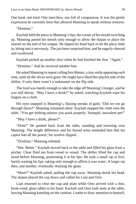One hard, one kind. One merciless, one full of compassion. It was the gentle expression he currently bore that allowed Manning to speak without remorse.

"Drottinn."

Kayluth held the piece to Manning's lips, the corner of his mouth twitching up. Manning parted his mouth only enough to allow the skipan to place the morsel on the end of his tongue. He tipped his head back to let the piece slide in, biting into it nervously. The juiciness surprised him, and he eagerly chewed and swallowed.

Kayluth picked up another slice when he had finished the first. "Again."

"Drottinn." And he received another bite.

He asked Manning to repeat calling him Master, a tiny smile appearing each time, until all the slices were gone. He might have liked this playful side of the shifter, if only there wasn't a taskmaster on the flip side.

The food was barely enough to take the edge off Manning's hunger, and he was still thirsty. "May I have a drink?" he asked, watching Kayluth wipe his fingers on a cloth.

His eyes snapped to Manning's, blazing streaks of gold. "Did we not go through thisss?" Manning remained silent. Kayluth slapped the cloth onto the table. "You get nothing unlesss you asssk properly. Ssstupid, insssolent pet!"

"May I have a drink, please?"

"Drek!" He pushed back from the table, standing and towering over Manning. The height difference and his bound arms reminded him that his captor had all the power; his resolve slipped.

"Drottinn," Manning relented.

"Hm. Better." Kayluth moved back to the table and filled his glass from a pitcher. Clear fluid ran from vessel to vessel. The shifter lifted the cup and stood before Manning, positioning it at his lips. He took a small sip at first, barely wetting his lips, taking only enough to affirm it was water. A larger sip then, and another, eventually draining the glass.

"More?" Kayluth asked, pulling the cup away. Manning shook his head. The skipan placed the cup down and called for Lian and Orm.

Lian returned to clear the cup and plate while Orm arrived with a thin, book-sized, glass tablet in his hand. Kayluth and Orm took seats at the table, leaving Manning kneeling on the cushion. Loathe to draw attention to himself,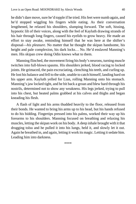he didn't dare move, sure he'd topple if he tried. His feet were numb again, and he'd stopped wiggling his fingers while eating. As their conversation lengthened, he relaxed his shoulders, slumping forward. The soft, hissing, hypnotic lilt of their voices, along with the feel of Kayluth drawing strands of his hair through long fingers, caused his eyelids to grow heavy. He made an effort to stay awake, reminding himself that he was here at the shifter's disposal—*his pleasure*. No matter that he thought the skipan handsome, his height and pale complexion, his dark locks… No. He'd enslaved Manning's men. His skipan crew doing Odin knows what to them.

Manning flinched, the movement firing his body's neurons, turning muscle twitches into full-blown spasms. His shoulders jerked, blood racing to locked joints. He grimaced, the pain excruciating, clenching his teeth, and curling up. He lost his balance and fell to the side, unable to catch himself, landing hard on his upper arm. Kayluth yelled for Lian, rolling Manning onto his stomach. Manning's jaw locked tight, and he bit back a groan and blew hard through his nostrils, determined not to show any weakness. His legs jerked, trying to pull into his chest, but heated palms grabbed at his calves and thighs and began kneading his flesh.

A flash of light and his arms thudded heavily to the floor, released from their bonds. He wanted to bring his arms up to his head, but his hands refused to do his bidding. Fingertips pressed into his palms, worked their way up his forearms to his shoulders. Manning focused on breathing and relaxing his muscles, letting the skipan work on his body. A deep inhale brought with it that drugging tolsu and he pulled it into his lungs, held it, and slowly let it out. Again he breathed in, and again, letting it work its magic. Letting it sedate him. Leading him into darkness.

\*\*\*\*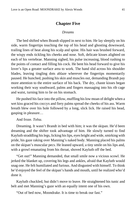# **Chapter Five**

### *Dreams*

The bed shifted when Brandt slipped in next to him. He lay sleepily on his side, warm fingertips touching the top of his head and ghosting downward, trailing lines of heat along his scalp and spine. His hair was brushed forward, the wispy ends tickling his cheeks and nose. Soft, delicate kisses alighted on each of his vertebrae. Manning sighed, his pulse increasing, blood rushing to the points of contact and filling his cock. He bent his head forward to give his lover's lips a greater surface area to work. The hand slid across his shoulder blades, leaving tingling dots ablaze wherever the fingertips momentarily paused. He hunched, pushing his skin and muscles out, demanding Brandt pay more attention to the entire surface of his back. The dry, chaste kisses began working their way southward, palms and fingers massaging into his rib cage and waist, turning him to lie on his stomach.

He pushed his face into the pillow, muffling his low moan of delight when a wet kiss graced his coccyx and fiery palms spread the cheeks of his ass. Warm breath blew over his hole followed by a long, slick lick. He raised his head, gasping in pleasure…

### And froze. *Tolsu*.

Dreaming. It wasn't Brandt in bed with him; it was the skipan. He'd been dreaming and the shifter took advantage of him. He slowly turned to find Kayluth straddling his legs, licking his lips, eyes bright and wide, smirking with pride, his gaze raking over Manning's naked body. Manning placed his palms on the skipan's muscular pecs. He leaned upward, a tiny smile on his lips and, with a growl emanating from his throat, shoved Kayluth off the bed.

"Get out!" Manning demanded, that small smile now a vicious scowl. He jerked the blanket up, covering his legs and ankles, afraid that Kayluth would snag one. He felt humiliated and furious. And disgusted with himself. To think he'd enjoyed the feel of the skipan's hands and mouth, until he realized who'd done it.

Kayluth chuckled, but didn't move to leave. He straightened his tunic and belt and met Manning's gaze with an equally intent one of his own.

"Out of bed now, Moondrake. It is time to break our fast."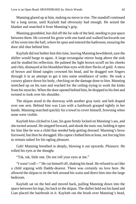Manning glared up at him, making no move to rise. The standoff continued for a long tarran, until Kayluth had obviously had enough. He seized the blanket and snatched it from Manning's grip.

Manning grumbled, but slid off the far side of the bed, needing to put space between them. He covered his groin with one hand and walked backwards out of his room into the hall, where he spun and entered the bathroom, ensuring the door slid shut behind him.

Kayluth did not bother him this time, leaving Manning bewildered, sure the shifter would barge in again. A large rectangular mirror hung above the sink and he studied his reflection. He palmed the light brown scruff on his cheeks and chin, dismayed at his bloodshot blue eyes with their flecks of gold. A mess of brown and blond tangles crowned his head, and he dragged wet fingers through it in an attempt to get it into some semblance of order. He took a cursory glance down his body, checking on the damage done to him. Manning stretched up on his toes and reached for the ceiling trying to work the kinks from his muscles. When the door opened behind him, he dropped to his feet and twisted to look over his shoulder.

The skipan stood in the doorway with another gray tunic and belt draped over one arm. Behind him was Lian with a hairbrush grasped tightly in her hands. Manning searched quickly for a towel to cover himself, frowning when none were visible.

Kayluth hiss-clicked to Lian, his gaze firmly locked on Manning's ass, and she turned around. He stepped forward, and shook the tunic out, holding it open for him like he was a child that needed help getting dressed. Manning's brow furrowed, but then he shrugged. His captor clothed him at least, not forcing him to remain naked for his ogling pleasure.

Gah! Manning breathed in deeply, blowing it out upwards. *Pleasure.* He rolled his eyes at the thought.

"Tsk, tsk, little one. Do not roll your eyes at me."

"I wasn't roll—" He cut himself off, shaking his head. He refused to act like a child arguing with Daddy-dearest. There was certainly no love here. He allowed the skipan to tie the belt around his waist and direct him into the large bedroom.

Kayluth sat on the bed and moved back, pulling Manning down into the space between his legs, his back to the skipan. The shifter held out his hand and Lian placed the hairbrush in it. Kayluth ran the brush over Manning's head,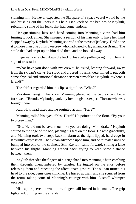stunning him. He never expected the Skeppare of a space vessel would be the one brushing out the knots in his hair. Lian knelt on the bed beside Kayluth, rebraiding some of his locks that had come undone.

Her questioning hiss, and hand coming into Manning's view, had him turning to look at her. She snagged a section of his hair only to have her hand slapped away by Kayluth. Manning snorted at the move of jealousy. He'd done it to more than one of his own crew who had dared to lay a hand on Brandt. The smile that had crept up on him died then, and he looked away.

Fingernails scratched down the back of his scalp, pulling a sigh from him. A sigh of frustration.

"What have you done with my crew?" he asked, leaning forward, away from the skipan's claws. He stood and crossed his arms, determined to put both some physical and emotional distance between himself and Kayluth. "Where is Brandt?"

The shifter regarded him, his lips a tight line. "Who?"

Vexation rising in his core, Manning glared at the two skipan, brow furrowed. "Brandt. My bodyguard, my lov—logistics expert. The one who was brought here."

Kayluth's head tilted and he squinted at him. "Here?"

Manning rolled his eyes. "Yes! Here!" He pointed to the floor. "By your two crewman."

"Ssu. He did not behave, much like you are doing, Moondrake." Kayluth shifted to the edge of the bed, placing his feet on the floor. He rose gracefully, and Manning took two steps back in alarm at the tight-lipped, hard edge in Kayluth's expression. The skipan advanced upon him, and he retreated until he bumped into one of the cabinets. Still Kayluth came forward, sliding a knee between his thighs. Manning arched back, trying to keep some distance between them.

Kayluth threaded the fingers of his right hand into Manning's hair, combing them through, unencumbered by tangles. He tugged on the ends before releasing them and repeating the affectionate gesture. The skipan turned his head to the side, gemstones clinking. He hissed at Lian, and she scurried from the room, taking some of Manning's courage with him. A small whimper escaped.

His captor peered down at him, fingers still locked in his mane. The grip tightened, pulling on the strands.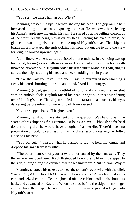"You sssingle thisss human out. Why?"

Manning pressed his lips together, shaking his head. The grip on his hair increased, tilting his head back, exposing his throat. He swallowed hard, feeling his Adam's apple moving under his skin. He stared up at the ceiling, conscious of the warm breath being blown on his flesh. Forcing his eyes to cross, he glanced down along his nose to see the top of Kayluth's head. The skipan's braids all fell forward, the ends tickling his neck, but unable to hold the view for long, he looked upwards again.

A thin line of wetness started at his collarbone and rose in a winding way up his throat, leaving a cool path in its wake. He startled at the single hot breath blown on his damp skin. Kayluth added his left hand to Manning's hair, fingers curled, their tips cradling his head and neck, holding him in place.

"I like the way you taste, little one," Kayluth murmured into Manning's flesh, his words burning both skin and mind. "And I am hungry."

Manning gasped, getting a mouthful of tolsu, and slammed his jaw shut with an audible click. Kayluth raised his head, bright-blue irises wandering over Manning's face. The skipan studied him a tarran, head cocked, his eyes darkening before releasing him with dark brows raised.

Kayluth stepped back. "I frighten you."

Manning heard both the statement and the question. Was he or wasn't he scared of this skipan? Of his capture? Of being a slave? Although so far he'd done nothing that he would have thought of as servile. There'd been no preparation of food, no serving of drinks, no dressing or undressing the shifter. He shook his head.

"You do, but…" Unsure what he wanted to say, he held his tongue and dropped his gaze from Kayluth's.

"The other members of your crew are not cowed by their masters. They thrive here, are loved here." Kayluth stepped forward, and Manning stepped to the side, sliding along the cabinet towards his tiny room. "But not you. Why?"

Manning snapped his gaze up to meet the skipan's, eyes wild with disbelief. "Sweet Freya! Unbelievable! Do you really not know?" Anger bubbled in his core and seized control. He straightened off the cabinet, rolled his shoulders back, and advanced on Kayluth. When he stood before the skipan—no longer caring about the danger he was putting himself in—he jabbed a finger into Kayluth's sternum.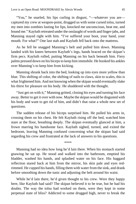"You," he snarled, his lips curling in disgust, "—whatever you are captured my crew at weapon-point, drugged us with some cursed tolsu, turned my men into zombies lusting for lips, knocked me unconscious, beat me, and bound me." Kayluth retreated under the onslaught of words and finger-jabs, and Manning stayed right with him. "I've suffered your boot, your hand, your mouth. For what?" One last stab and Kayluth fell back onto the mattress.

As he fell he snagged Manning's belt and pulled him down. Manning landed with his knees between Kayluth's legs, hands braced on the skipan's firm pecs. Kayluth rolled, putting Manning on his back beneath him. Fiery palms pressed down on his biceps to keep him immobile. He hooked his ankles over Manning's to keep him from kicking.

Manning shrank back into the bed, looking up into eyes more yellow than blue. This shifting of color, the shifting of nails to claws, skin to scales, this is what frightened him. And not knowing when the skipan would eventually slake his thirst for pleasure on his body. He shuddered with the thought.

"Just get on with it," Manning gritted, closing his eyes and turning his face away. Better to get it over with now. Maybe the skipan would be disgusted with his body and want to get rid of him, and didn't that raise a whole new set of questions.

The sudden release of his biceps surprised him. He pulled his arms in, crossing them on his chest. He felt Kayluth rising off the bed, watched him stare at the floor, breathing deeply. The skipan eventually glanced at him, a frown marring his handsome face. Kayluth sighed, turned, and exited the bedroom, leaving Manning confused concerning what the skipan had said regarding his crew and frustrated at the lack of answers to his questions.

\*\*\*\*

Manning had no idea how long he'd lain there. When his stomach started gnawing he sat up. He stood and walked into the bathroom, emptied his bladder, washed his hands, and splashed water on his face. His haggard reflection stared back at him from the mirror, his skin pale and eyes redrimmed. He cupped his hands, filling them with water from the sink, and drank before smoothing down the tunic and adjusting the belt around his waist.

While he'd lain there, he'd given thought to his crew. Were they happy here, like Kayluth had said? The skipan believed it to be true, but he had his doubts. The way the tolsu had worked on them, were they kept in some perpetual state of bliss? Addicted to some drugged high, never to break the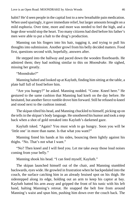habit? He'd seen people in the capital lost to a new breathable pain medication. When used sparingly, it gave immediate relief, but larger amounts brought on a mild euphoria. Over time, more and more was needed to feel the high, and a huge dose would stop the heart. Too many citizens had died before his father's men were able to put a halt to the drug's production.

Manning ran his fingers into his hair, tugging it, and trying to pull his thoughts into submission. Another growl from his belly decided matters. Food first, questions second with, hopefully, answers after.

He stepped into the hallway and paced down the wooden floorboards. He admired them; they had nothing similar to this on *Moondrake*. He sighed, missing her greatly.

"Moondrake?"

Manning halted and looked up at Kayluth, finding him sitting at the table, a plate half full of food before him.

"Are you hungry?" he asked. Manning nodded. "Come. Kneel here." He gestured to the same cushion that Manning had knelt on the day before. He hesitated, but another fierce rumble drove him forward. Still he refused to kneel and stood next to the cushion instead.

The skipan tilted his head, and Manning chuckled to himself, picking up on the tells in the skipan's body language. He smothered his humor and took a step back when a shot of gold streaked into Kayluth's darkened gaze.

Kayluth tsked. "Again? You must wish to go hungry. Soon you will be 'little one' in more than name. Is that what you want?"

Manning fisted his hands at his sides, bouncing them lightly against his thighs. "No. That's not what I want."

"No? Then kneel and I will feed you. Let me take away those loud noises coming from your belly."

Manning shook his head. "I can feed myself, Kayluth."

The skipan launched himself out of the chair, and Manning stumbled backwards, eyes wide. He growled in frustration when he backpedaled into the couch, the surface catching him in an already bruised spot on his thigh. He sidestepped along its edge, holding out an arm to keep his captor at bay. Kayluth batted his arm away and gripped the front of his tunic with his left hand, halting Manning's retreat. He snapped the belt free from around Manning's waist and spun him, pushing him down over the couch back. The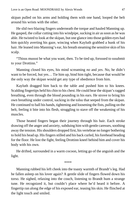skipan pulled on his arms and holding them with one hand, looped the belt around his wrists with the other.

He slid two blazing fingers underneath the torque and hauled Manning up. He gasped, the collar cutting into his windpipe, sucking in air as soon as he was able. He twisted to look at the skipan, but one glance into those golden eyes had him quickly averting his gaze, wincing when Kayluth grabbed a hunk of his hair. He leaned into Manning's ear, his breath steaming the sensitive skin of his scalp.

"Thisss mussst be what you want, then. To be tied up, forsssed to sssubmit to your Drottinn."

Manning closed his eyes, his mind screaming *no* and *yes*. No, he didn't want to be forced, but yes… Tie him up, bind him tight, because that would be the only way the skipan would get any type of obedience from him.

Kayluth dragged him back to the table and pushed him to his knees. Scalding fingertips held his chin to his chest. He could hear the skipan's ragged breathing, even through the blood pounding in his ears. He strove to bring his own breathing under control, sucking in the tolsu that seeped from the skipan. He continued to ball his hands, tightening and loosening the fists, pulling on the belt, feeling it bite into his flesh, struggling to stave off the weakening of his muscles.

Those heated fingers began their journey through his hair. Each stroke drawing off the anger and anxiety, subduing him with gentle caresses, soothing away the tension. His shoulders dropped first, his vertebrae no longer bothering to hold his head up. His fingers stilled and his back curled, his forehead heading for the floor. He lost the fight, feeling Drottinn kneel behind him and cover his body with his own.

He drifted, surrounded in a warm cocoon, letting go of the anguish and the light.

\*\*\*\*

Manning rubbed his left cheek into the toasty warmth of Brandt's leg. Had he fallen asleep on his lover again? A gentle slide of fingers flowed down his torso. He sighed, relaxing into the couch, listening to Brandt hum a strange tune. He recognized it, but couldn't place where he'd heard it before. A fingertip ran along the edge of his exposed ear, teasing his skin. He flinched at the light touch and smiled.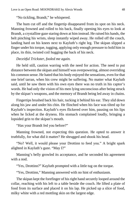"No tickling, Brandt," he whispered.

The hum cut off and the fingertip disappeared from its spot on his neck. Manning frowned and rolled to his back, finally opening his eyes to look at Brandt, a crystalline gaze staring down at him instead. He raised his hands, the belt pinching his wrists, sleep instantly wiped away. He rolled off the couch, landing hard on his knees next to Kayluth's right leg. The skipan slipped a finger under his torque, tugging, applying only enough pressure to hold him in place, its thin, twisted coil hugging the back of his neck.

## *Deceitful Trickster, fooled me again.*

He held still, caution warring with the need for action. The need to put distance between the skipan and himself was overpowering, almost overriding his common sense. He hated that his body enjoyed the sensations, even for that one brief tarran, when his crew might be suffering. No matter what Kayluth said, until he saw them with his own eyes there was no truth in his captor's words. He had only the vision of his men lying unconscious after being struck by the skipan's weapons, and the memory of Brandt being led away in chains.

Fingertips brushed back his hair, tucking it behind his ear. They slid down along his jaw and under his chin. He flinched when his face was tilted up for Kayluth's inspection. Kayluth's eyes flickered over him, pausing on his lips when he licked at the dryness. His stomach complained loudly, bringing a lopsided grin to the skipan's mouth.

"Has your Brandt fed you before?"

Manning frowned, not expecting this question. He opted to answer it truthfully, for what did it matter? He shrugged and shook his head.

"No? Well, it would please your Drottinn to feed you." A bright spark alighted in Kayluth's gaze. "May I?"

Manning's belly growled its acceptance, and he seconded his agreement with a nod.

"Yes, Drottinn?" Kayluth prompted with a little tug on the torque.

"Yes, Drottinn," Manning answered with no hint of enthusiasm.

The skipan kept the forefinger of his right hand securely looped around the collar, reaching with his left to a table beside the couch. He lifted a plate of food from its surface and placed it on his lap. He picked up a slice of food, milky white with a red mottling skin on the largest edge.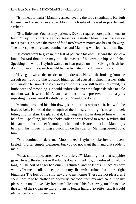"Is it meat or fruit?" Manning asked, eyeing the food skeptically. Kayluth frowned and raised an eyebrow. Manning's forehead creased in puzzlement. "What?"

"Ssu, little one. You test my patience. Do you require more punishments to learn?" Kayluth's light tone almost teased as he studied Manning with a sparkle in his eyes. He placed the piece of food into his own mouth and began chewing. The look spoke of relaxed dominance, and Manning worried his bottom lip.

He didn't want to give in, the test of patience his own. He was the son of a king—bastard though he may be—the master of his own airship. An alpha! Speaking the words Kayluth wanted to hear grated on him. Giving this shifter dominion over his speech would be the first step in a downward spiral.

Having his wrists tied needed to be addressed. Plus, all the bruising from the assault on his body. The repeated bindings had caused strained muscles, tight with knotted tension. Those episodes of spasms were still fresh in his mind, his limbs sore and throbbing. He could endure whatever the skipan decided to dole out, but was it worth it? A small amount of self-preservation as easy as repeating the one word Kayluth desired. Should he do it?

Manning dropped his chin down, staring at his wrists encircled with the braided belt. He tested the strength of the knots, crinkling his nose, the belt biting into his skin. He glared at it, knowing the skipan dressed him with the belt first. Appalling, like the choke collar he was forced to wear. Kayluth slid his hand out from under Manning's chin, and scissored a lock of Manning's hair with his fingers, giving a quick tug on the strands. Manning peered up at him.

"You continue to defy me, Moondrake." Kayluth spoke low and evenkeeled. "I offer simple pleasures, but you do not want them and that saddens me."

"What simple pleasures have you offered?" Manning met that sapphire gaze. He saw the distress in Kayluth's down-turned lips, but refused to halt his tongue. The coil of anger had quickly returned, and he let his ire lace his next words. "A metal collar, a heelprint on my ribs, wrists ruined from these tight bindings? The loss of my ship, my crew, my home? These are not pleasures I seek. I desire to be clothed respectfully, eat food from my own hand, find my pleasure in one I love. My freedom." He turned his face away, unable to take the sight of the skipan anymore. "I am no longer hungry, *Drottinn*, and it would *please* me to return to my room."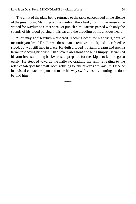The clink of the plate being returned to the table echoed loud in the silence of the great room. Manning bit the inside of this cheek, his muscles tense as he waited for Kayluth to either speak or punish him. Tarrans passed with only the sounds of his blood pulsing in his ear and the thudding of his anxious heart.

"You may go," Kayluth whispered, reaching down for his wrists, "but let me untie you first." He allowed the skipan to remove the belt, and once freed he stood, but was still held in place. Kayluth gripped his right forearm and spent a tarran inspecting his wrist. It had severe abrasions and hung limply. He yanked his arm free, stumbling backwards, unprepared for the skipan to let him go so easily. He stepped towards the hallway, cradling his arm, retreating to the relative safety of his small room, refusing to take his eyes off Kayluth. Once he lost visual contact he spun and made his way swiftly inside, shutting the door behind him.

\*\*\*\*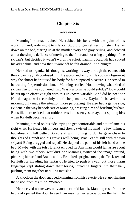# **Chapter Six**

#### *Revelation*

Manning's stomach ached. He rubbed his belly with the palm of his working hand, ordering it to silence. Stupid organ refused to listen. He lay down on the bed, staring up at the mottled ivory and gray ceiling, and debated about the simple defiance of moving to the floor and not using anything of the skipan's, but decided it wasn't worth the effort. Taunting Kayluth had spiked his adrenaline, and now that it wore off he felt drained. And hungry.

He tried to organize his thoughts, working his way through the events with the skipan. Kayluth confused him, his words and actions. He couldn't figure out why the shifter hadn't used his body for his supposed pleasure. He seemed to be waiting for permission, but… Manning scoffed. Not knowing what kind of skipan Kayluth was bothered him. Was it a form he could subdue? How could he put up an effective fight with this unknown variable? And did he need to? His damaged wrist certainly didn't help matters. Kayluth's behavior this morning only made the situation more perplexing. He also had a gentle side, evident in the way he took care of Manning, dressing him and brushing his hair. But still, there resided that ruthlessness he'd seen yesterday, that spitting hiss when Kayluth became angry.

Manning turned on his side, trying to get comfortable and not inflame his right wrist. He flexed his fingers and slowly twisted his hand—a few twinges, but already it felt better. Bored and with nothing to do, he gave chase to thoughts of Brandt and his crew's well-being. Was Brandt still with the two skipan? Being drugged and raped? He slapped the palm of his left hand on the bed. Maybe with the tolsu Brandt enjoyed it? Any man would fantasize about being with two others, wouldn't he? Manning switched the image around, picturing himself and Brandt and… He bolted upright, cursing the Trickster and Kayluth for invading his fantasy. He tried to push it away, but those warm fingertips kept sliding down their torsos, threading fingers into their hair, pushing them together until lips met skin…

A knock on the door snapped Manning from his reverie. He sat up, shaking the vision from his mind. "What?"

He received no answer, only another timid knock. Manning rose from the bed and opened the door to see Lian making her escape down the hall. He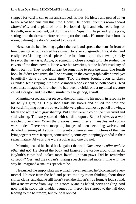stepped forward to call to her and stubbed his toes. He hissed and peered down to see what had hurt him this time. Books. His books, from his room aboard *Moondrake*, and a plate of food. He looked right and left, searching for Kayluth, sure he watched, but didn't see him. Squatting, he picked up the plate, setting it on the dresser before returning for the books. He turned back into his room, palming the door's control to close it.

He sat on the bed, leaning against the wall, and spread the items in front of him. Seeing the food caused his stomach to raise a disgruntled fuss. A demand easily met; Manning tossed a piece of the food into his mouth, chewing slowly to savor the tart taste. Apple, or something close enough to it. He studied the covers of the three novels. None were his favorites, but he hadn't read any of them recently. They would at least be something to pass the time. The fourth book he didn't recognize, the line drawing on the cover graphically horrid, yet beautifully done at the same time. Two creatures fought upon it, claws extended, teeth ripping into flesh, crimson blood evident on both beasts. He'd seen these images before when he had been a child: one a mythical creature called a dragon and the other, similar to a large dog, a wolf.

Manning tossed another piece of the sour fruit into his mouth in response to his belly's gurgling. He pushed aside his books and pulled the new one forward, flipping open the cover. Inside were pictures, mostly pencil drawings, black and white with gray shading. But a few were in color, the hues vivid and soul-stirring. The story started with small dragons. Babies? Always a wolf watched over them. When the dragons gained in size, manacles and collars were added. There were morphing images of men becoming wolves, and detailed, green-eyed dragons turning into blue-eyed men. Pictures of the men lying together were frequent, some simple, some eye-poppingly candid in their sexual nature. Always one wore a collar and one did not.

Manning leaned his head back against the wall. *One wore a collar and the other did not.* He closed the book and fingered the torque around his neck. Kayluth's claws had looked more lizard-like than paws. Did he remember correctly? Yes, and the skipan's hissing speech seemed more in line with the way he imagined a snake's speech to be.

He pushed the empty plate away, hadn't even realized he'd consumed every morsel. He rose from the bed and paced the tiny room thinking about those shifter claws, and that he still hadn't seen the skipan's true form. A loud sound, like a sneeze came from Kayluth's room. Manning halted, nerves tingling. And now that he stood, his bladder begged for mercy. He stepped to the hall door leading to the bathroom, but found it locked.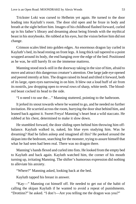Trickster Loki was cursed to Helheim yet again. He turned to the door leading into Kayluth's room. The door slid open and he froze in body and breath at the sight before him. Images of his childhood flashed forward, curled up in his father's library and dreaming about being friends with the mythical beast in his storybooks. He rubbed at his eyes, but the vision before him did not change.

Crimson scales bled into golden edges. An enormous dragon lay curled in Kayluth's bed, its head resting on front legs. A long thick tail tapered to a point wrapped around its body, the end hanging over the edge of the bed. Positioned as he was, he still barely fit on the immense mattress.

Manning stood stock-still in the doorway taking in the size of him, afraid to move and attract this dangerous creature's attention. One large jade eye opened and peered intently at him. The dragon raised its head and tilted it forward, both of its large, open eyes narrowing in on him. It blew out a loud huff of air from its nostrils, jaw dropping open to reveal rows of sharp, white teeth. The bloodred beast cocked its head to the side.

"I n-need t-to use the…" Manning stuttered, pointing to the bathroom.

It jerked its snout towards where he wanted to go, and he needed no further invitation. He scurried across the room, hurrying the door shut behind him, and leaned back against it. Sweet Freya! Manning's heart beat a wild staccato. He rubbed at his chest, determined to make it slow down.

He stumbled forward, the door sliding open behind him throwing him offbalance. Kayluth walked in, naked, his blue eyes studying him. Was he dreaming? Had he fallen asleep and imagined all this? He peeked around the skipan into the bedroom, searching for the monster, trying to assure himself that what he had seen had been real. There was no dragon there.

Manning's hands flexed and curled into fists. He looked from the empty bed to Kayluth and back again. Kayluth watched him, the corner of his mouth turning up, irritating Manning. The shifter's humorous expression did nothing to alleviate his anxiety.

"Where?" Manning asked, looking back at the bed.

Kayluth tapped his breast in answer.

"Kay—" Manning cut himself off. He needed to get out of the habit of calling the skipan Kayluth if he wanted to avoid a repeat of punishments. "Drottinn?" he asked. "I don't—Are you telling me the dragon was you?"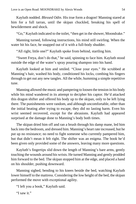Kayluth nodded. *Blessed Odin.* His true form a dragon! Manning stared at him for a full tarran, until the skipan chuckled, breaking his spell of bewilderment and shock.

"Go," Kayluth indicated to the toilet, "then get in the shower, Moondrake."

Manning turned, following instructions, his mind still swirling. When the water hit his face, he snapped out of it with a full-body shudder.

"All right, little one?" Kayluth spoke from behind, startling him.

"Sweet Freya, don't do that," he said, spinning to face him. Kayluth stood outside the edge of the water's spray pouring shampoo into his hand.

Kayluth looked at him and smiled. "Close your eyes." He scrubbed at Manning's hair, washed his body, conditioned his locks, combing his fingers through to get out any new tangles. All the while, humming a simple repetitive tune.

Manning allowed the music and pampering to loosen the tension in his body while his mind wandered in its attempt to decipher his captor. He'd attacked this dragon shifter and offered his body up to the skipan, only to be left lying there. The punishments were random, and although uncomfortable, other than the initial beating after trying to escape, they did no lasting harm. Even his wrist seemed recovered, except for the abrasions. Kayluth had appeared surprised at the damage done to Manning's body both times.

The skipan dried him off and ran a brush through his damp mane, led him back into the bedroom, and dressed him. Manning's heart rate increased, but he put up no resistance; no need to fight someone who currently pampered him, but that didn't mean it felt right. The shifter was an enigma. The book he'd been given only provided some of the answers, leaving many more questions.

Kayluth's fingertips slid down the length of Manning's bare arms, gently touching the wounds around his wrists. He turned Manning and gently prodded him forward to the bed. The skipan stopped him at the edge, and placed a hand on his shoulder, pushing downward.

Manning sighed, bending to his knees beside the bed, watching Kayluth lower himself to the mattress. Considering the low height of the bed, the skipan performed the move with exceptional agility.

```
"I left you a book," Kayluth said.
```
"I saw it."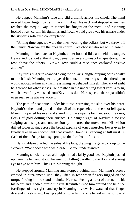He cupped Manning's face and slid a thumb across his cheek. The hand moved lower, fingertips trailing warmth down his neck and stopped when they reached the torque. Kayluth tapped his fingers on the metal, and Manning looked away, certain his tight lips and frown would give away his unease under the skipan's soft-eyed contemplation.

"A long time ago, we were the ones wearing the collars, but we threw off the Fenrir. Now we are the ones in control. We choose who we will please."

Manning looked back at Kayluth, under hooded lids, and held his tongue. He wanted to shout at the skipan, demand answers to unspoken questions. One rose above the others… *How?* How could a race once enslaved enslave another?

Kayluth's fingertips danced along the collar's length, dipping occasionally to touch flesh. Manning let his eyes drift shut, momentarily sure that the skipan would not cause him any harm, assuming he behaved himself. The lack of sight heightened his other senses. He breathed in the underlying sweet vanilla tolsu, which never fully vanished from Kayluth's skin. He suspected the skipan didn't even realize he always wore it.

The path of heat snuck under his tunic, caressing the skin over his heart. Kayluth's other hand pulled on the tail of the rope belt until the knot fell apart. Manning opened his eyes and stared into the skipan's brilliant sapphire ones, flecks of gold dotting their surface. He caught sight of Kayluth's tongue swiping at his lips and unconsciously mirrored the movement. His vision drifted lower again, across the broad expanse of toned muscles, lower even to finally take in an endowment that rivaled Brandt's, standing at full mast. A flash of the ménage fantasy sprang to the forefront of his mind.

Hands ablaze cradled the sides of his face, drawing his gaze back up to the skipan's. "We choose who we please. Do you understand?"

Manning shook his head although he had a fairly good idea. Kayluth pushed up from the bed and stood, his erection falling parallel to the floor and staring eye to eye with him. *This is it*, Manning thought.

He stepped around Manning and stopped behind him. Manning's brows creased in puzzlement, until they lifted in fear when fingers tugged on the torque forcing him to stand or choke. He rose, feeling a burst of adrenaline hit his heart, and readied himself to run. Kayluth turned him around and held the forefinger of his right hand up in Manning's view. He watched that finger descend in a slow arc. Losing sight of it, he felt it come to rest in the hollow of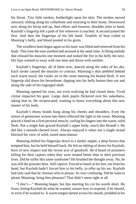his throat. Tiny little strokes, featherlight upon his skin. The strokes moved outward, sliding along his collarbone and returning to their home. Downward now along his bicep and up, then elbow and forearm, shoulder joint to hand, Kayluth's fingertip left a path of fire wherever it touched. A second joined the first. And then the fingertips of his left hand. Tendrils of heat coiled in Manning's belly, and blood pooled in his groin.

The wordless hum began again as his tunic was lifted and removed from his body. This time the tune soothed and aroused at the same time. A lilting melody that relaxed his muscles one moment and stoked the fire in his belly the next. His hips wanted to sway with one beat and thrust with another.

Kayluth's fingertips, all of them now, danced along the sides of his abs. Each stroke caused the muscles to contract. Manning's skin pebbled behind each warm touch, the cooler air in the room meeting his heated flesh. A wet fingertip slid down his breastbone, dipping into his belly button then out and along the side of his engorged shaft.

Manning opened his eyes, not even realizing he had closed them. Vivid citrine impacted his gaze. Large, dark pupils flickered over his nakedness, taking him in. He reciprocated, wanting to know everything about this new master of his body.

Kayluth's ebony braids hung along his cheeks and shoulders. Even the tiniest of gemstones woven into them reflected the light in the room. Manning placed a hand on a firm pectoral muscle, curling his fingers into the warm, solid flesh. Not a single hair graced Kayluth's upper body, much like Brandt's. He did like a smooth-chested lover. Always enjoyed it when not a single strand blocked his view of solid, toned musculature.

Manning drifted his fingertips down to a darker nipple, a deep brown that tempted him, but he held himself back. He felt an inkling of desire for Kayluth, born of new respect and the recent acts of goodwill. He'd heard of prisoners falling for their captors when they were treated better than in their previous lives. Did he suffer this same syndrome? He brushed the thought away. No, he was still the prisoner here. Still captive. Forced to kneel at his feet, eat from his hand, but Kayluth hadn't forced him to his belly, to offer up his ass. Kayluth had only said that *he* chooses who to please. So very confusing. Did he want to please Manning, bring him pleasure? That didn't seem right at all.

"I don't—" Manning began, but lips meeting his cut his words short. He froze, letting Kayluth do what he wanted, unsure how to respond, if he should, or even if he wanted to. A warm tongue darted across his mouth, prodded at his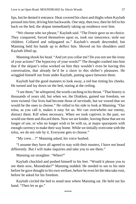lips, but he denied it entrance. Heat covered his chest and thighs when Kayluth pressed into him, driving him backwards. One step, then two, then he fell to his back on the bed, the skipan immediately taking up residence over him.

"We choose who we please," Kayluth said. "The Fenrir gave us no choice. They conquered, forced themselves upon us, took our innocence, stole our children. Collared and subjugated us." Kayluth's mouth descended, but Manning held his hands up to deflect him. Shoved on his shoulders until Kayluth lifted up.

Manning shook his head. "And yet you collar me? Do you not see the irony of your actions? The hypocrisy of your words?" The thought crashed into him that if the skipan's tolsu worked on him they wouldn't even be having this conversation, that already he'd be a slave to this shifter's pleasures. He wriggled himself out from under Kayluth, putting space between them.

Kayluth had the good manners to look away, a red hue tinting his cheeks. He turned and lay down on the bed, staring at the ceiling.

"I see them," he whispered, the words catching in his throat. "That history is thousands of years old, but when we, the Drakken, gained our freedom, we were twisted. Our lives had become those of servitude, but we vowed that we would be the ones to choose." He rolled to his side to look at Manning. "Our tolsu, as you call it, makes it easy for us. We can overwhelm our enemy, distract them. Kill when necessary. When we took captives in the past, we would use them and discard them. Now we are kinder, leaving those that are no longer of use, or who no longer wish to be with us, at major spaceports with enough currency to make their way home. While we initially overcome with the tolsu, we do not rule by it. Everyone gets to choose."

"My crew…?" Manning asked, his voice hushed.

"I assume they have all agreed to stay with their masters, I have not heard differently. But I will make inquiries and take you to see them."

Manning sat straighter. "When?"

Kayluth chuckled and pushed himself to his feet. "Would it please you to see them now, Moondrake?" Manning nodded. He needed to see to his men before he gave thought to his own welfare, before he even let the idea take root, before he asked for his freedom.

Kayluth circled the bed to stand near where Manning sat. He held out his hand. "Then let us go."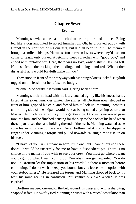## **Chapter Seven**

### *Reunion*

Manning scowled at the leash attached to the torque around his neck. Being led like a dog amounted to abject humiliation. Oh, he'd played puppy with Brandt in the confines of his quarters, but it'd all been in jest. The memory brought a smile to his lips. Harmless fun between lovers where they'd used no collar or leash, only played at fetching, head scratches with "good boy," and ended with fantastic sex. Here, there was no love, only distrust. His lips fell. He'd suffered the kicking, the binding, and being hand-fed. What other distasteful acts would Kayluth make him do?

They stood in front of the entryway with Manning's knees locked. Kayluth tugged on the leash, but he refused to budge.

"Come, Moondrake," Kayluth said, glaring back at him.

Manning shook his head with his jaw clenched tightly like his knees, hands fisted at his sides, knuckles white. The shifter, all Drottinn now, stepped in front of him, gripped his chin, and forced him to look up. Manning knew this controlling side of the skipan would balk at being called anything other than Master. He much preferred Kayluth's gentler side. Drottinn's narrowed gaze tore into him, and he flinched, tensing for the slap to the back of his head when the skipan raised the hand holding the end of the leash. Manning watched as he spun his wrist to take up the slack. Once Drottinn had it wound, he slipped a finger under Manning's torque and pulled upwards causing him to rise up on his toes.

"I have let you run rampant in here, little one, but I cannot outside these doors. It would be unseemly for me to have a disobedient pet. There is no choice in the matter if you wish to see your crew. You must go where I want you to go, do what I want you to do. You obey, you get rewarded. You do not…" Drottinn let the implication of his words lie there a moment before continuing. "I do not wish to keep you bound, but you leave me no option with your stubbornness." He released the torque and Manning dropped back to his feet, his mind reeling in confusion. *Run rampant? How? When?* He was captive!

Drottinn snagged one end of the belt around his waist and, with a sharp tug, snapped it free. He swiftly tied Manning's wrists with a much looser knot than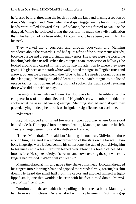he'd used before, threading the leash through the knot and placing a section of it into Manning's hand. Now, when the skipan tugged on the leash, his bound hands were pulled forward first. Off-balance, he was forced to walk or be dragged. While he followed along the corridor he made the swift realization that if his hands had not been added, Drottinn would have been yanking him by his neck.

They walked along corridors and through doorways, and Manning wondered about the rewards. He'd had quite a few of the punishments already, bore the purple and green bruising in many spots. His knees were the worst; the kneeling had taken its toll. When they stopped at an intersection of hallways, he looked around and cursed himself for not paying attention to where they were going. He glanced at the stark white walls, noted the signs in illegible runes and arrows, but unable to read them, they'd be no help. He needed a crash course in their language. Mentally he added learning the skipan's tongue to his list of escape tactics, not convinced Kayluth had spoken the truth about returning those who did not wish to stay.

Passing rights and lefts and unmarked doorways left him bewildered with a complete loss of direction. Several of Kayluth's crew members nodded or spoke what he assumed were greetings. Manning studied each skipan they passed, trying to decipher a rank or insignia or significance on each one.

## "Skeppare!"

Kayluth stopped and turned towards an open doorway where Orm stood behind a desk. He stepped into the room, leading Manning to stand on his left. They exchanged greetings and Kayluth stood relaxed.

"Kneel, Moondrake," he said, but Manning did not hear. Oblivious to those around him, he stared at a window projection of the stars on the far wall. Two bony fingertips were jabbed behind his collarbone, the stab of pain driving him to his knees with a hiss. Drottinn leaned over, blowing a breath of heated air into his face. He spoke quietly, his warm hand now covering the spot where his fingers had pushed. "When will you learn?"

Manning glared at him and gave a tiny shake of his head. Drottinn threaded his fingers into Manning's hair and gripped the strands firmly, forcing his chin down. He heard the small huff from his captor and allowed himself a tightlipped smile, one that wouldn't be seen with his face turned down. *Reward, zero. Punishment, one.*

Drottinn sat in the available chair, pulling on both the leash and Manning's hair to move him closer. Once satisfied with his placement, Drottinn's grip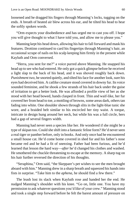loosened and he dragged his fingers through Manning's locks, tugging on the ends. A breath of heated air blew across his ear, and he tilted his head to hear the softly spoken words.

"Orm expects your disobedience and has urged me to cast you off. I hope you will give thought to what I have told you, and allow me to please you."

Manning kept his head down, allowing his hair to fall forward and mask his features. Drottinn continued to card his fingertips through Manning's hair, an occasional scrape of nails on his scalp keeping him firmly in the present while Kayluth and Orm conversed.

"Herra, you sent for me?" a voice purred above Manning. He snapped his head up to see who had entered. He only got a quick glimpse before he received a light slap to the back of his head, and it was shoved roughly back down. *Punishment two*, he snorted quietly, and tilted his face for another look, sure his eyes had deceived him. A catlike creature stood covered in downy fur. Its voice sounded feminine, and he shook a few strands of his hair back under the guise of irritation to get a better look. He was afforded a profile view of her as she stood with her head bowed, hands clasped in front. Thin and waif-like, her fur covered her from head to toe, a mottling of browns, some areas dark, others tan fading into white. One shoulder shown through slits in the light-blue tunic she wore, and a braided belt similar to his encircled her tiny waist. A torque, intricate in design hung around her neck, but while his was a full circle, hers had a gap of several fingers width.

Manning had never seen a species like her. He wondered if she might be a type of skipan too. Could she shift into a fantastic feline form? He'd never seen a real tiger or panther before, only in books. And only once had he encountered a small house cat. He'd come home covered in shed fur and his father's nose became red and he had a fit of sneezing. Father had been furious, and he'd learned that lesson the hard way—*after* he'd changed his clothes and washed. He smothered the chuckle threatening to escape at the memory. A sharp tug on his hair further reversed the direction of his thoughts.

"Seraphina," Orm said, "the Skeppare's pet wishes to see the men brought aboard with him." Manning drew in a sharp breath and squeezed his hands into fists in surprise. "Take him to the *aphena*, he should find a few there."

The leash lost its slack when Kayluth rose and handed her the end. He nudged Manning's shoulder with his knee. "Go on, little one. You have my permission to ask whatever questions you'd like of your crew." Manning stood and took a single step forward before he felt the barest amount of pressure on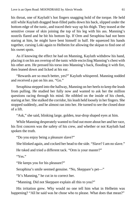his throat, one of Kayluth's hot fingers snagging hold of the torque. He held still while Kayluth dragged heat-filled paths down his back, slipped under the bottom edge of the tunic, and traced their way up his thigh. They teased at the sensitive crease of skin joining the top of his leg with his ass. Manning's nostrils flared and he bit his bottom lip. If Orm and Seraphina had not been staring at him, he might have bent himself in half. He squeezed his hands together, cursing Loki again to Helheim for allowing the skipan to find one of his sweet spots.

As if knowing the effect he had on Manning, Kayluth withdrew his hand, placing it on his ass overtop of the tunic while encircling Manning's chest with his other arm. He pressed his torso into Manning's back, flooding it with fire, then leaned down and licked at his ear.

"Rewards are so much better, yes?" Kayluth whispered. Manning nodded and received a pat on his ass. "Go."

Seraphina stepped into the hallway, Manning on her heels to keep the leash from pulling. He studied her fully now and wanted to ask her the million questions racing through his mind. He nibbled on the inside of his cheek, staring at her. She stalked the corridor, his leash held loosely in her fingers. She stopped suddenly, and he almost ran into her. He turned to see the closed door of a lift.

"Ask," she said, blinking large, golden, tear-drop shaped eyes at him.

While Manning desperately wanted to find out more about her and her race, his first concern was the safety of his crew, and whether or not Kayluth had spoken the truth.

"Do you enjoy being a pleasure slave?"

She blinked again, and cocked her head to the side. "Slave? I am no slave."

He tsked and tried a different tack. "Orm is your master?"

"Yes."

"He keeps you for his pleasure?"

Seraphina's smile seemed genuine. "No, Skeppare's pet—"

"It's Manning," he cut in to correct her.

"Manning. Did not Skeppare explain all this to you?"

His irritation grew. Why would no one tell him what in Helheim was happening? "All he said was he chose who to please. What does that mean?"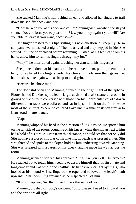She tucked Manning's hair behind an ear and allowed her fingers to trail down his scruffy cheek and neck.

"Does he keep you at his beck and call?" Manning went on when she stayed silent. "Does he force you to please him? Use your body against your will? Are you able to leave if you want, because—"

Her finger pressed to his lips stilling his next question. "I keep my Herra company, warm his bed at night." The lift arrived and they stepped inside. She waited until the door closed before resuming. "I kneel at his feet, eat from his hand, allow him to run his fingers through my fur."

"Why?" he interrupted again, touching her arm with his fingertips.

She glanced down at his hands and he removed them, pulling them to his belly. She placed two fingers under his chin and made sure their gazes met before she spoke again with a sharp-toothed grin.

"Because he chose me."

The door slid open and Manning blinked in the bright light of the aphena. Ebony-haired Drakken sprawled in large, cushioned chairs scattered around in groups of two or four, conversed with those nearby. Representatives of a dozen different alien races were collared and sat in laps or knelt on the floor beside most of the shifters. Where no collared slave knelt, a smaller skipan similar to Lian stood in attendance.

# "Captain!"

Manning whipped his head in the direction of Stig's voice. He spotted him on the far side of the room, bouncing on his knees, while the skipan next to him had a hold of his torque. Even from this distance, he could see that not only did Stig not have a closed circular collar like his, no leash was present either. Stig straightened and spoke to the skipan holding him, indicating towards Manning. Stig was released with a caress on his cheek, and he made his way across the room.

Manning grinned widely at his approach. "Stig! Are you well? Unharmed?" He reached out to touch him, needing to assure himself that his first mate and long-time friend was whole and healthy. His hands were caught by Stig's, who looked at his bound wrists, fingered the rope, and followed the leash's path upwards to his neck. Stig frowned as he inspected all of him.

"It would appear, Sir, that I need to ask the same of you."

Manning brushed off Stig's concern. "Stig, please, I need to know if you and the crew are all right."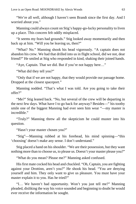"We're all well, although I haven't seen Brandt since the first day. And I worried about you."

Manning could always count on Stig's happy-go-lucky personality to liven up a place. This concern felt oddly misplaced.

"It seems my fears had grounds." Stig looked away momentarily and then back up at him. "Will you be leaving us, then?"

"What? No." Manning shook his head vigorously. "A captain does not abandon his crew. We had that drilled into us in flight school, did we not, dear friend?" He smiled at Stig who responded in kind, shaking their joined hands.

"Aye, Captain. That we did. But if you're not happy here…"

"What did they tell you?"

"Only that if we are not happy, that they would provide our passage home. Dropped at the closest spaceport."

Manning nodded. "That's what I was told. Are you going to take their offer?"

"Me?" Stig leaned back. "No, but several of the crew will be departing in the next few days. What have I to go back for anyway? Besides—" his toothy smile one of the biggest Manning had ever seen him wear "—my master is incredible."

"Truly?" Manning threw all the skepticism he could muster into his question.

"Hasn't your master chosen you?"

"Stig"—Manning rubbed at his forehead, his mind spinning—"this 'choosing' doesn't make any sense. I don't understand."

Stig placed a hand on his shoulder. "We are their possession, but they want nothing more than to choose us, to please us. Doesn't your master please you?"

"What do you mean? Please me?" Manning asked confused.

His first mate cocked his head and chuckled. "Oh, Captain, you are fighting against your Drottinn, aren't you?" He shook his head. "You are denying yourself and him. They only want to give us pleasure. You must have your master explain it to you. Has he tried?"

"I… We haven't had opportunity. Won't you just tell me?" Manning pleaded, disliking the way his voice sounded and beginning to doubt he would ever receive the information he sought.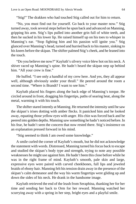"Stig!" The drakken who had touched Stig called out for him to return.

"No, you must find out for yourself. Go back to your master now." Stig turned away, took several steps before he spun back and advanced on Manning, gripping his arm. Stig's lips pulled into another grin full of white teeth, and then he sucked in his lower lip. He raised himself up on his toes to whisper in Manning's ear. "Stop fighting him and his passion will ignite you." Stig glanced over Manning's head, turned and hurried back to his master, sinking to his knees before the skipan. The shifter palmed Stig's cheek, and he leaned into the touch.

"Do you believe me now?" Kayluth's silvery voice blew hot on his neck. A shiver raced up Manning's spine. He hadn't heard the skipan step up behind him. "All your crew is fine."

He huffed. "I see only a handful of my crew here. And yes, they all appear well, although obviously under your thrall." He peered around the room a second time. "Where is Brandt? I want to see him."

Kayluth placed his fingers along the back edge of Manning's torque. He circled around in front, dragging his fingertips, paths of searing heat, along the metal, warming it with his touch.

The shifter stared intently at Manning. He returned the intensity until he saw the skipan's irises dotting with amber flecks. It panicked him and he looked away, equating those yellow eyes with anger. His chin was forced back and he peered into golden depths. Manning saw something he hadn't noticed before. In his fear, he hadn't seen the concern that now rested there. Stig's insistence on an explanation pressed forward in his mind.

"Stig seemed to think I am owed some knowledge."

A smile curled the corner of Kayluth's mouth, but he did not acknowledge the statement with words. Distressed, Manning turned his focus back to escape and studied the skipan's body type and strength, trying to note any possible weaknesses he might use against him. He hadn't been this close before while he was in the right frame of mind. Kayluth's smooth, pale skin and large, expressive eyes were paired with carved cheekbones, full lips and jeweled braids of ebony hair. Manning felt his tension drain away in the presence of the skipan's calm demeanor and the way his warm fingertips were gliding up and down the sides of his neck. He drank in the handsome image.

Kayluth retrieved the end of the leash from Seraphina, thanking her for her time and sending her back to Orm for her reward. Manning watched her scurrying away with a spring in her step, bright eyes and a playful smile.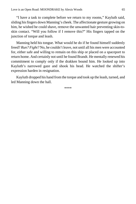"I have a task to complete before we return to my rooms," Kayluth said, sliding his fingers down Manning's cheek. The affectionate gesture growing on him, he wished he could shave, remove the unwanted hair preventing skin-toskin contact. "Will you follow if I remove this?" His fingers tapped on the junction of torque and leash.

Manning held his tongue. What would he do if he found himself suddenly freed? *Run? Fight?* No, he couldn't leave, not until all his men were accounted for, either safe and willing to remain on this ship or placed on a spaceport to return home. And certainly not until he found Brandt. He mentally renewed his commitment to comply only if the drakken bound him. He looked up into Kayluth's narrowed gaze and shook his head. He watched the shifter's expression harden in resignation.

Kayluth dropped his hand from the torque and took up the leash, turned, and led Manning down the hall.

\*\*\*\*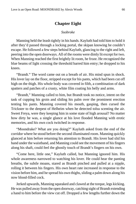# **Chapter Eight**

### *Ssobroke*

Manning held the leash tightly in his hands. Kayluth had told him to hold it after they'd passed through a locking portal, the skipan knowing he couldn't escape. He followed a few steps behind Kayluth, glancing to the right and left, peering into the open doorways. All of the rooms were dimly lit except for two. When Manning reached the first brightly lit room, he froze. He recognized the blue beams of light crossing the threshold barred him entry; he dropped to his knees.

"Brandt." The word came out on a breath of air. His mind spun in shock. His lover lay on the floor, stripped except for his pants, which had been cut off high on the thigh. His whole body was covered in filth, a combination of dark spatters and patches of a crusty, white film coating his belly and arms.

"Brandt," Manning called to him, but Brandt took no notice, intent on the task of cupping his groin and sliding his palm over the prominent erection tenting his pants. Manning covered his mouth, gasping, then cursed the Trickster to the deepest of Helheim when he detected tolsu scenting the air. Sweet Freya, were they keeping him in some state of high arousal? No matter how dirty he was, a single glance at his love flooded Manning with erotic memories, and his own cock twitched in response.

"Moondrake? What are you doing?" Kayluth asked from the end of the corridor where he stood before the second illuminated room. Manning quickly glanced at him before returning his attention to Brandt. His lover had slid his hand under the waistband, and Manning could see the movement of his fingers along his shaft, could feel the ghostly touch of Brandt's fingers on his own.

"Come here, little one," Kayluth called, but Manning ignored him. His whole awareness narrowed to watching his lover. He could hear the panting breaths, the subtle moans, stared as Brandt pinched and pulled at a nipple, rolling it between his fingers. His own heart rate increased in response to the vision before him, and he spread his own thighs, sliding a palm down along his now blood-filled cock.

Jerked upwards, Manning squeaked and clawed at the torque, legs kicking. He was pulled away from the open doorway, catching sight of Brandt extending a hand to him before the view cut off. Dropped a few lengths further down the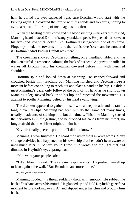hall, he curled up, eyes squeezed tight, sure Drottinn would start with the kicking again. He covered the torque with his hands and forearms, hoping to avoid a repeat of the sting of metal against his throat.

When the beating didn't come and the blood rushing in his ears diminished, Manning heard instead Drottinn's angry drakken speak. He peeked out between his arms and saw what looked like Drottinn dressing-down one of his crew. Fingers pointed, first towards him and then at his lover's cell, and he wondered if Drottinn hadn't known Brandt was there.

The crewman showed Drottinn something on a handheld tablet, and the drakken huffed in response, palming the back of his head. Aggravation rolled in waves off Drottinn, and his crewman cowered before him with hunched shoulders.

Drottinn spun and looked down at Manning. He stepped forward and crouched beside him, reaching out. Manning flinched and Drottinn froze a moment before continuing to reach out and place a hand on his hip. He didn't meet Manning's gaze, only followed the path of his hand as he slid it down Manning's leg, moved back up to his hip, and repeated the movement. His attempt to soothe Manning, belied by his hard swallowing.

The drakken appeared to gather himself with a deep breath, and he ran his tongue over his lips. Manning had seen him do that same act many times, usually in advance of stalking him, but this time… This time Manning sensed the nervousness in the gesture, and he dropped his hands from his throat, no longer afraid that the shifter might do him harm.

Kayluth finally peered up at him. "I did not know."

Manning's brow furrowed. He heard the truth in the drakken's words. Many strange activities had happened on his own ship that he hadn't been aware of until much later. "I believe you." Three little words and the light that had dimmed in Kayluth's eyes sprang back.

"You want your people safe."

"I do," Manning said. "They are my responsibility." He pushed himself up to lean against the wall. "But Brandt means more to me."

"You care for him?"

Manning nodded, his throat suddenly thick with emotion. He rubbed the back of his hand across his mouth. He glanced up and held Kayluth's gaze for a moment before looking away. A hand slipped under his chin and brought him back.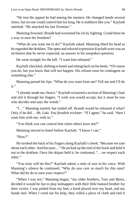"He lost the appeal he had among the masters. He changed hands several times, but no one could control him for long. He is stubborn like you." Kayluth smirked. "He attacked his last Drottinn."

Manning frowned. Brandt had worsened his lot by fighting. Could there be a way to earn his freedom?

"What do you want me to do?" Kayluth asked. Manning tilted his head as he regarded the drakken. The open and relaxed expression Kayluth wore was an invitation that he never expected, an answer to his unspoken question.

He went straight for the kill. "I want him released."

Kayluth chuckled, shifting to kneel and sitting back on his heels. "Of course you do, but you know that will not happen. His release must be contingent on something else."

Manning pursed his lips. "What do you want from me? Tell me and I'll do it."

"I already made my choice." Kayluth scissored a section of Manning's hair and slid it through his fingers. "I wish you would accept, but it must be you who decides and says the words."

"I…" Manning started, but trailed off. Brandt would be released if what? Only if he did… *Ah, Loki. You fiendish trickster.* "If I agree," he said, "then I want him with me, with us."

"You think you can control him when others have not?"

Manning moved to kneel before Kayluth. "I know I can."

"How?"

He stroked the back of his fingers along Kayluth's cheek. "Because we care about each other. And because…" He picked up the end of the leash and held it out to the drakken. Once the skipan held it, he continued, "…we respect each other."

"You truly will do this?" Kayluth asked, a note of awe in his voice. With Manning's silence he continued, "Why do you care so much for this man? What did he do to earn your respect?"

"When I was ten," Manning began, "my older brothers, Tore and Bjorn, decided it would be fun to play kidnappers with their little bastard brother for their victim. I was pulled from my bed, a hood placed over my head, and my hands tied. When I cried out for help, they rolled a piece of cloth and tied it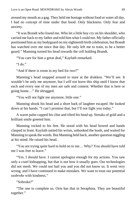around my mouth as a gag. They held me hostage without food or water all day. I had no concept of time under that hood. Only blackness. Only fear and anxiety.

"It was Brandt who found me. Who let a little boy cry on his shoulder, who carried me back to my father and told him what I could not. My father officially positioned him as my bodyguard on my eighteenth birth celebration, but Brandt has watched over me since that day. He only left me to train, to be a better guard." Manning turned his head towards the cell holding Brandt.

"You care for him a great deal," Kayluth remarked.

"I do."

"And if there is room in my bed for two?"

Manning's head snapped around to stare at the drakken. "We'll see. It wouldn't be only me anymore, but I *will not* leave this ship until I know that each and every one of my men are safe and content. Whether that is here or going home…" He shrugged.

"You will not fight me anymore, little one."

Manning shook his head and a short bark of laughter escaped. He looked down at his hands. "I can't promise that, but I'll not fight you today."

A warm palm cupped his chin and tilted his head up. Streaks of gold and a brilliant smile greeted him.

Manning rocked to his feet. He stood with his head bowed and hands clasped in front. Kayluth untied his wrists, unhooked the leash, and waited for Manning to speak the words. But Manning held back, another question niggling at his mind. He raised his head.

"You are trying quite hard to hold on to me… Why? You should have told me I was free to leave."

"Yes. I should have. I cannot apologize enough for my actions. You saw only a cruel kidnapping, but that is not how it usually goes. Our technologies did not mesh. We could not hail you and you did not know us. It went very wrong, and I have continued to make mistakes. We want to treat our potential *ssobroke* with kindness."

"Sobroke?"

"The one to complete us. Orm has that in Seraphina. They are beautiful together."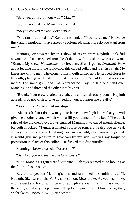"And you think I'm your what? Mate?"

Kayluth nodded and Manning exploded.

"So you choked me and kicked me?"

"You ran off, defied me," Kayluth responded. "You scared me." His voice thick and tremulous. "I have already apologized, what more do you want from me?"

Manning, empowered by this show of regret from Kayluth, took full advantage of it. He sliced into the drakken with his sharp words of want. "Brandt. My crew, *Moondrake*, our freedom. Shall I go on, *Drottinn*? How about feeding myself, the removal of this cursed collar, and to sit in a chair. My knees are killing me." The corner of his mouth turned up. He stepped closer to Kayluth, placing his hands on the skipan's chest. "A real bed and a decent meal." The smile grew and was reciprocated. Kayluth laid one hand over Manning's and threaded the other into his hair.

"Brandt. Your crew's safety, a chair, and a meal, all easily done," Kayluth agreed. "I do not wish to give up feeding you, it pleases me greatly."

"So you said. What about my ship?"

"She is safe, but I don't want you to leave. I have high hopes that you will give me another chance which will fulfill your demand for a bed." The quick raise of the drakken's eyebrows stunned Manning into gaped-mouth silence. Kayluth chuckled. "I underestimated you, little prince. I treated you as weak when you are strong, acted as though you were a child, when you are my equal. It would give me pleasure to have you by my side, wearing my torque of possession in place of this collar." He flicked at it disdainfully.

Manning's brow creased. "Possession?"

"Ssu. Did you not see the one Orm wears?"

"No." Manning's grin turned sardonic. "I always seemed to be looking at the floor in his presence."

Kayluth tapped on Manning's lips and smoothed the smirk away. "I, Kayluth, Skeppare of the *Reykr*, choose you, Moondrake. As your ssobroke, with respect and honor will I care for you, please you. In return, I ask you for the same, and that you open yourself up to the passions that bind us together, Ssobroke to Ssobroke. Will you accept?"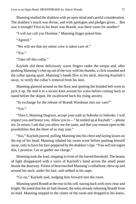Manning studied the drakken with an open mind and careful consideration. The drakken's touch was divine, and with apologies and pledges given… But was it enough? First in his heart was Brandt, was there room for another?

"I will not call you Drottinn." Manning finger-poked him.

"Agreed."

"We will see that my entire crew is taken care of."

"Yes."

"Take off this collar."

Kayluth slid those deliciously warm fingers under the torque and, after pushing Manning's chin up out of the way with his thumbs, a click sounded and the collar sprang apart. Manning's hands flew to his neck, shoving Kayluth's away, to verify the collar's removal from his skin.

Manning glanced around on the floor and spotting the braided belt went to pick it up. He tied it in a secure knot around his waist before coming back to stand before the skipan. He swallowed back his rising anxiety.

"In exchange for the release of Brandt Wardman into *our* care?"

"Yes."

"Then I, Manning Dagrson, accept your oath as Sobroke to Sobroke. I will respect you and honor you. Allow you to—" he smiled up at Kayluth "—please me. In return, I ask that you allow me the same, and that you remain open to the possibilities that the three of us may join."

"Ssu," Kayluth purred, pulling Manning into his chest and laying kisses on the top of his head. Manning inhaled his sweet scent before pushing himself away, only to have his face peppered by the drakken's lips. "You will not regret this, I promise. Let us gather our charge."

Manning took the lead, stepping in front of the barred threshold. The beams of light disappeared with a wave of Kayluth's hand across the small panel beside the doorway. Points of heat touched Manning's collarbone, drew up and around his neck, under his hair, and rubbed at his nape.

"Go on," Kayluth said, nudging him forward into the room.

Manning spied Brandt at the rear in his cell, staring back with eyes clear and bright. He noted that the air had cleared, the tolsu already releasing Brandt from its hold. Manning stepped to the center of the room and dropped to his knees,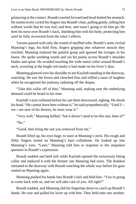grimacing at the contact. Brandt crawled forward and head-butted his stomach. He instinctively curled his fingers into Brandt's hair, pulling gently, telling him without words that he was real, and here, and wasn't going to let him go. He bent his torso over Brandt's back, shielding him with his body, protecting him until he fully recovered from the tolsu's effects.

Tarrans passed with only the sound of muffled sobs. Brandt's arms circled Manning's legs, his hold firm, fingers gripping into whatever muscle they touched. Manning endured the painful grasp and ignored the twinges in his knees. He spoke soothing words and ran his palms across Brandt's shoulder blades and spine. He avoided touching the wide metal collar around Brandt's neck, scowling at the bright red marks it had made on his lover's skin.

Manning glanced over his shoulder to see Kayluth standing in the doorway, watching. He saw the frown and clenched fists and stifled a snort of laughter when he recognized the jealousy radiating off the skipan.

"Take this collar off of him," Manning said, making sure the underlying demand could be heard in his tone.

Kayluth's eyes softened before he cast them downward, sighing. He shook his head. "He cannot leave here without it," he said sympathetically. "Until I we—are sure of his desires, he must wear it."

"Very well," Manning huffed, "but it doesn't need to be this one, does it?" "No."

"Good, then bring the one you removed from me."

Brandt lifted up, his eyes huge, to stare at Manning's neck. His rough and filthy fingers rested on Manning's bare collarbone. He looked up into Manning's eyes. "Later," Manning told him in response to the unspoken question in Brandt's expression.

Brandt nodded and held still while Kayluth opened the torturously biting collar and replaced it with the thinner one Manning had worn. The drakken retreated to the doorway with Brandt watching the whole way before his gaze settled on Manning again.

Manning pushed his hands into Brandt's hair and held him. "You're going to come back with us, and we will take care of you. All right?"

Brandt nodded, and Manning slid his fingertips down to catch up Brandt's hands. He rose and pulled his lover up with him. They held onto one another,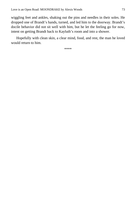wiggling feet and ankles, shaking out the pins and needles in their soles. He dropped one of Brandt's hands, turned, and led him to the doorway. Brandt's docile behavior did not sit well with him, but he let the feeling go for now, intent on getting Brandt back to Kayluth's room and into a shower.

Hopefully with clean skin, a clear mind, food, and rest, the man he loved would return to him.

\*\*\*\*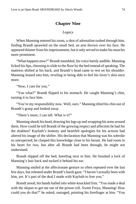## **Chapter Nine**

### *Legacy*

When Manning entered his room, a shot of adrenaline rushed through him, finding Brandt sprawled on the small bed, an arm thrown over his face. He appeared thinner from his imprisonment, but it only served to make his muscles more prominent.

"What happens now?" Brandt mumbled, his voice barely audible. Manning licked his lips, choosing to slide to the floor by the bed instead of speaking. The mattress shifted at his back, and Brandt's head came to rest on his shoulder. Manning leaned into him, reveling in being able to feel his lover's skin once more.

"Now, I care for you."

"You what?" Brandt flipped to his stomach. He caught Manning's chin, turning it to face him.

"You're my responsibility now. Well, ours." Manning tilted his chin out of Brandt's grasp and looked away.

"There's more, I can tell. What is it?"

Manning shook his head, drawing his legs up and wrapping his arms around them. How could he tell Brandt of the growing respect and affection he had for the drakken? Kayluth's honesty and heartfelt apologies for his actions had altered his image of the shifter. His declaration that Manning was his sobroke so unexpected; he clasped this knowledge close to his breast. He had room in his heart for two, but after all Brandt had been through, he might not understand.

Brandt slipped off the bed, kneeling next to him. He brushed a lock of Manning's hair back and tucked it behind his ear.

Manning smiled at the affectionate gesture so often repeated over the last few days, but relented under Brandt's harsh gaze. "I haven't actually been with him, yet. It's part of the deal I made with Kayluth to free you."

Brandt stood, his hands balled into white-knuckled fists. "You made a deal with the skipan to get me out of the prison cell. Sweet Freya, Manning! How could you do that?" he asked, outraged, pointing his forefinger at him. "You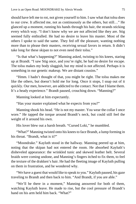should have left me to rot, not given yourself to him. I saw what that tolsu does to our crew. It affected me, not as continuously as the others, but still…" He glanced up a moment, running his hands through his hair, the strands sticking every which way. "I don't know why we are not affected like they are. Stig seemed fully enthralled. He had no desire to leave his master. Most of the others I spoke to said the same. They fed off the pleasure, wanting nothing more than to please their masters, receiving sexual favors in return. It didn't take long for these skipan to not even need their tolsu."

"Is that what's happening?" Manning asked, twisting to his knees, staring up at Brandt. "I saw Stig once, and you're right, he had no desire for escape. The tolsu makes my body sluggish, but my mind is not affected. Perhaps it is something in our genetic makeup. We are distant cousins."

"Hmm. I hadn't thought of that, you might be right. The tolsu makes me like the others, but doesn't hold me for long. Once it stops, I snap out of it quickly. Our men, however, are addicted to the contact. Not that I blame them. It's a heady experience." Brandt paused, crouching down. "Manning?"

Manning looked at him expectantly.

"Has your master explained what he expects from you?"

Manning shook his head. "He is not my master. You wear the collar I once wore." He tapped the torque around Brandt's neck, but could still feel the weight of it around his own.

His lover blew out a harsh breath. "Cursed Loki," he mumbled.

"What?" Manning twisted onto his knees to face Brandt, a lump forming in his throat. "Brandt, what is it?"

"Moondrake." Kayluth stood in the hallway. Manning peered up at him, noting that the skipan had not entered the room. He absorbed Kayluth's disheveled appearance: the wrinkled tunic and skewed leather belt. Several braids were coming undone, and Manning's fingers itched to fix them, to feel the texture of the drakken's hair. He had the fleeting image of Kayluth pulling on them in frustration, and he wondered why.

"We have a guest that would like to speak to you." Kayluth paused, his gaze traveling to Brandt and then back to him. "And Brandt, if you are able."

"We'll be there in a moment," Manning answered for both of them, watching Kayluth leave. He made to rise, but the cool pressure of Brandt's hand on his arm held him back. "What?"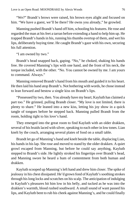"We?" Brandt's brows were raised, his brown eyes alight and focused on him. "We have a guest, we'll be there? He owns you already," he growled.

Manning pushed Brandt's hand off him, schooling his features. He rose and regarded the man at his feet a tarran before extending a hand to help him up. He trapped Brandt's hands in his, running his thumbs overtop of them, and wet his lips, deliberately buying time. He caught Brandt's gaze with his own, securing his full attention.

"I am owned by two."

Brandt's head snapped back, gaping. "No," he choked, shaking his hands free. He covered Manning's lips with one hand, and the front of his neck, the torque included, with the other. "No. You cannot be owned by me. I am yours to command. Always."

Manning removed Brandt's hand from his mouth and guided it to his heart. He then laid his hand atop Brandt's. Not bothering with words, he chose instead to lean forward and bestow a single kiss on Brandt's lips.

"Possessed by two, then. You already have my heart; Kayluth has claimed a part too." He grinned, pulling Brandt closer. "My love is not limited, there is plenty to share." He leaned into a new kiss, letting his joy show in a quick tangle of tongues before he stepped back. Manning pulled Brandt from the room, holding tight to his love's hand.

They emerged into the great room to find Kayluth with an older drakken, several of his braids laced with silver, speaking to each other in low tones. Lian knelt by the couch, arranging several plates of food on a small table.

Brandt let go of Manning's hand and knelt beside the table, displacing Lian, his hands in his lap. She rose and moved to stand by the older drakken. A quiet growl escaped from Manning, but before he could say anything, Kayluth stepped to Brandt's side. He lightly stroked his fingertips over Brandt's head, and Manning swore he heard a hum of contentment from both human and drakken.

Kayluth scooped up Manning's left hand and drew him closer. The spike of jealousy in his chest dissipated. He'd grown fond of Kayluth's soothing strokes through his long locks and scratches on his scalp. The anticipation of indulging in Kayluth's pleasures hit him low in his belly, and tucked as he was into the drakken's warmth, blood rushed southward. A small sound of want passed his lips, and Kayluth bent to rub his cheek against Manning's, and he could finally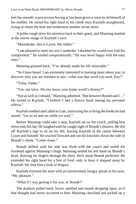feel the smooth, warm texture having at last been given a razor to rid himself of his stubble. He raised his right hand to his cheek once Kayluth straightened, trying to retain the heat and tenderness another tarran more.

A polite cough drew his attention back to their guest, and Manning startled at the mirror image of Kayluth's eyes.

"Moondrake, this is Lyurn. My father."

"I am pleased to meet my son's ssobroke. I doubted he would ever find his complement." He smiled conspiratorially. "He was never happy with the easy ones."

Manning grinned back. "I've already made his life miserable."

"So I have heard. I am extremely interested in learning more about you; to discover why you are immune to our—what was that word you used, Kay?"

"Tolsu, Father."

"Yes, our tolsu. Do you know your home world's history?"

"Not as well as I should," Manning admitted. "But between Brandt and I…" He turned to Kayluth. "I believe I had a history book among my personal effects."

Kayluth nodded and called to Lian, instructing her to bring the books he had stored. "Let us sit and eat while we wait."

Before Manning could take a step, Kayluth sat on the couch, pulling him down onto his lap. He laughed until he caught sight of Brandt's distress. He slid off Kayluth's legs to sit on his left, leaving Kayluth in the center between Lyurn and himself. He reached forward and ran his knuckles down the side of Brandt's cheek. "Come closer."

Brandt shifted until his side was flush with the couch and rested his forehead against Manning's thigh. Manning settled his left hand on Brandt's head, drawing his fingers through the short, thick mane Brandt preferred. He extended his right hand for a bite of food, only to have it slapped away by Kayluth. He shot him a look of disgust.

Kayluth returned the stare with an unrestrained, hungry gleam in his eyes. "My pleasure."

"What if I was getting it for you, or Brandt?"

The drakken pulled back, brows uplifted and mouth dropping open, as if that thought had never occurred to him. Manning chuckled and picked up a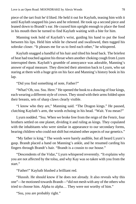piece of the tart fruit he'd liked. He held it out for Kayluth, teasing him with it until Kayluth snapped his jaws and he relented. He took up a second piece and leaned down to Brandt's ear. He coaxed him upright enough to place the food in his mouth then he turned to find Kayluth waiting with a bite for him.

Manning took hold of Kayluth's wrist, guiding his hand to put the food between his lips. Held him while he chewed and swallowed, then tugged his sobroke closer. "It pleases me for us to feed each other," he whispered.

Kayluth snagged a handful of his hair and tilted his head back. The briefest of heat had touched against his throat when another choking cough from Lyurn interrupted them. Kayluth's grumble of annoyance was adorable, Manning's answer of equal measure. They directed their attention back to Lyurn, who sat staring at them with a huge grin on his face and Manning's history book in his lap.

"Did you find something of note, Father?"

"What? Oh, ssu. Ssu. Here." He opened the book to a drawing of four kings, each wearing a different style of crown. They stood with their arms folded upon their breasts, sets of sharp claws clearly visible.

"I know who they are," Manning said. "The Dragon kings." He paused, clutching Kayluth's arm, the words echoing in his head. "Wait. You mean?"

Lyurn nodded. "Ssu. When we broke free from the reign of the Fenrir, four brothers settled on one planet, dividing it and ruling as kings. They copulated with the inhabitants who were similar in appearance to our secondary forms, bearing children who could not shift but retained other aspects of our genetics."

"My father is king." The words were barely audible, but all heard Lyurn's gasp. Brandt placed a hand on Manning's ankle, and he resumed carding his fingers through Brandt's hair. "Brandt is a cousin to our house."

"Descendents of the Vidar," Lyurn whispered reverently. "It explains why you are not affected by the tolsu, and why Kay was so taken with you from the start."

"Father!" Kayluth blushed a brilliant red.

"Husssh. He should know if he does not already. It also reveals why this one"—he motioned towards Brandt—"did not mesh with any of the others who tried to choose him. Alpha to alpha… They were not worthy of him."

"Ssu, you are probably right."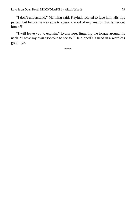"I don't understand," Manning said. Kayluth rotated to face him. His lips parted, but before he was able to speak a word of explanation, his father cut him off.

"I will leave you to explain." Lyurn rose, fingering the torque around his neck. "I have my own ssobroke to see to." He dipped his head in a wordless good-bye.

\*\*\*\*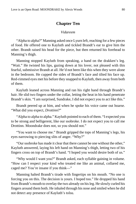## **Chapter Ten**

#### *Vidareem*

"Alpha to alpha?" Manning asked once Lyurn left, reaching for a few pieces of food. He offered one to Kayluth and tickled Brandt's ear to give him the other. Brandt raised his head for the piece, but then returned his forehead to Manning's thigh.

Manning stopped Kayluth from speaking, a hand on the drakken's leg. "Wait." He twisted his lips, gazing down at his lover, not pleased with this fearful, submissive Brandt at all. He'd not been like this when they were alone in the bedroom. He cupped the sides of Brandt's face and tilted his face up. Red-rimmed eyes met his before they snapped to Kayluth, then away from both of them.

Kayluth leaned across Manning and ran his right hand through Brandt's hair. He slid two fingers under the collar, letting the heat in his hand penetrate Brandt's skin. "I am surprised, Sundrake, I did not expect you to act like this."

Brandt peered up at him, and when he spoke his voice came out hoarse. "What did you expect, *Drottinn*?"

"Alpha to alpha to alpha." Kayluth pointed to each of them. "I expected you to be strong and belligerent, like our ssobroke. I do not expect you to call me Drottinn. Moondrake does not, so you should not."

"You want to choose me." Brandt gripped the tops of Manning's legs, his eyes narrowing to piercing slits of anger. "Why?"

"Our ssobroke has made it clear that there cannot be one without the other," Kayluth answered, laying his left hand on Manning's thigh, letting two of his fingers cross on top of Brandt's hand. "I hoped you would desire both of us."

"Why would I want you?" Brandt asked, each syllable gaining in volume. "How can I respect your kind who treated me like an animal, collared me, caged me? You're insane if you think—"

Manning halted Brandt's tirade with fingertips on his mouth. "No one is forcing you on this. The decision is yours. I hoped too." He dropped his hand from Brandt's mouth to overlay the two already on his leg. He slowly curled his fingers around them both. He inhaled through his nose and smiled when he did not detect any presence of Kayluth's tolsu.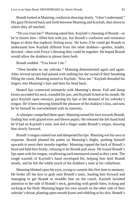Brandt looked at Manning, confusion showing clearly. "I don't understand." His gaze flickered back and forth between Manning and Kayluth, then down to where they all touched.

"Do you trust me?" Manning asked him. Kayluth's choosing of Brandt—as he'd chosen him—filled him with joy, but Brandt's confusion and resistance began to drain that euphoric feeling away. He knew if he could get Brandt to understand how Kayluth differed from the other drakken—gentler, kinder, devoted—then with Freya's blessing they could be together. He hoped Brandt would allow the drakken to please them both.

Brandt nodded. "You know I do."

"Then breathe in, my sobroke." Manning demonstrated again and again. After several tarrans had passed with nothing but the sound of their breathing filling the room, Manning turned to Kayluth. "Kiss me." Kayluth threaded his fingers into Manning's hair and bent his head back.

Heated lips connected intimately with Manning's throat. Full and damp kisses ascended his neck, rounded his jaw, and Kayluth licked at his mouth. He gave Kayluth open entrance, parting his lips at the demand of his sobroke's tongue. He'd been denying himself the pleasure of the drakken's kiss, and now he let himself be overwhelmed with its intensity.

A whimper compelled them apart. Manning turned his face towards Brandt, finding him with glazed eyes and blown pupils. He released the left hand hold he'd had on Kayluth's tunic and slid a finger under Brandt's torque, drawing him slowly forward.

Brandt's tongue snaked out and dampened his lips. Manning wet his own in response. Brandt planted his palms on Manning's thighs, pushing himself upwards to press their mouths together. Manning cupped the back of Brandt's head and held him firmly, refusing to let Brandt pull away. He teased Brandt's lips open with his tongue, swallowing each murmured sound as they came. The rough warmth of Kayluth's hand enveloped his, helping him hold Brandt steady, and he felt the subtle touch of the drakken's nose at his collarbone.

Manning blinked open his eyes, trying to commit this first time to memory. He broke off the kiss to grab onto Brandt's tunic, hauling him forward and managing to get Brandt to straddle him on the couch. Kayluth lavished attention to the side of Brandt's neck, growling with gentle bites, licking and sucking at his flesh. Manning began his own assault on the other side of their sobroke's throat, planting open-mouth kisses and nibbling at his skin. Brandt's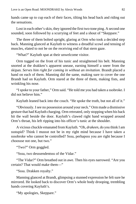hands came up to cup each of their faces, tilting his head back and riding out the sensations.

Lost in each other's skin, they ignored the first two-tone ping. A second one sounded, soon followed by a scurrying of feet and a shout of "Skeppare."

The three of them bolted upright, glaring at Orm who took a decided step back. Manning glanced at Kayluth to witness a dreadful scowl and tensing of muscles, elated to not be on the receiving end of that stern gaze.

"What?" Kayluth spat at their unwelcome visitor.

Orm tugged on the front of his tunic and straightened his belt. Manning snorted at the drakken's apparent unease, earning himself a sneer from the skipan. *Serves him right for coming in without an invitation.* Brandt placed a hand on each of them. Manning did the same, making sure to cover the one Brandt had on Kayluth. Orm stared at the three of them, making fists, and wrinkling his nose.

"I spoke to your father," Orm said. "He told me you had taken a ssobroke. I did not believe him."

Kayluth leaned back into the couch. "He spoke the truth, but not all of it."

"Obviously. I see no possession around your neck." Orm made a dismissive gesture that had Kayluth charging. Orm retreated, only stopping when his back hit the wall beside the door. Kayluth's clawed right hand wrapped around Orm's throat, his left ripping into his officer's tunic at the shoulder.

A vicious chuckle emanated from Kayluth. "Oh, *drakeen*, do you think I am ssstupid? Think I mussst not be in my right mind because I have taken a sssobroke who cannot be controlled? Sssu, perhapsss you are right because I choossse not one, but two."

"Two?" Orm goggled.

"Sssu, two desssendentsss of the Vidar."

"The Vidar?" Orm breathed out in awe. Then his eyes narrowed. "Are you certain? That would make them—"

"Sssu. Drakken royalty."

Manning glanced at Brandt, glimpsing a stunned expression he felt sure he mirrored. He looked back to discover Orm's whole body drooping, trembling hands covering Kayluth's.

"My apologies, Skeppare."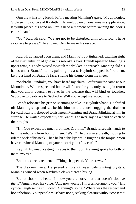Orm drew in a long breath before meeting Manning's gaze. "My apologies, Vidareem, Ssobroke of Kayluth." He knelt down on one knee in supplication. Kayluth placed his hand on Orm's head a moment before swiping the door's control panel.

"Go," Kayluth said. "We are not to be disturbed until tomorrow. I have ssobroke to please." He allowed Orm to make his escape.

\*\*\*\*

Kayluth advanced upon them, and Manning's gut tightened, catching sight of the swift infusion of gold in his sobroke's eyes. Brandt squeezed Manning's upper arms, his body twisted to watch the drakken's approach. Manning slid his hands under Brandt's tunic, palming his ass. Kayluth stopped before them, laying a hand on Brandt's face, sliding his thumb along his cheek.

"Ssobroke Sundrake, you have heard my claim. I offer you the same as our Moondrake. With respect and honor will I care for you, only asking in return that you allow yourself to revel in the pleasure that will bind us together, Ssobroke to Ssobroke to Ssobroke. Will you accept me, accept us?"

Brandt relocated his grip on Manning to take up Kayluth's hand. He shifted off Manning's lap and sat beside him on the couch, tugging the drakken forward. Kayluth dropped to his knees, Manning and Brandt blinking at him in surprise. He waited expectantly for Brandt's answer, laying a hand on each of their thighs.

"I… You expect too much from me, Drottinn." Brandt raised his hands to halt the rebuttals from both of them. "Wait!" He drew in a breath, moving to rub the back of his neck. Then he bit at his lips while fingering the torque. "You have convinced Manning of your sincerity, but I... can't."

Kayluth frowned, casting his eyes to the floor. Manning spoke for both of them. "Why?"

Brandt's cheeks reddened. "Things happened. Your crew…"

The drakken froze. He peered at Brandt, eyes pale glinting crystals. Manning winced when Kayluth's claws pierced his leg.

Brandt shook his head. "I know you are sorry, but that doesn't absolve *them.*" Anger laced his voice. "And now you say I'm a prince among you." His cynical laugh sent a chill down Manning's spine. "Where was the respect and honor before? Your people must have none, seeking pleasure without consent."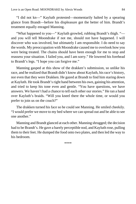"I did not kn—" Kayluth protested—momentarily halted by a spearing glance from Brandt—before his displeasure got the better of him. Brandt's treatment equally enraged Manning.

"What happened to you—" Kayluth growled, rubbing Brandt's thigh. " and you will tell Moondrake if not me, should not have happened. I will discover who was involved, but ultimately I am responsible. I do need to say the words. My preoccupation with Moondrake caused me to overlook how you were being treated. The chains should have been enough for me to stop and reassess your situation. I failed you, and I am sorry." He lowered his forehead to Brandt's legs. "I hope you can forgive me."

Manning gasped at this show of the drakken's submission, so unlike his race, and he realized that Brandt didn't know about Kayluth, his race's history, nor even that they were Drakken. He gazed at Brandt to find him staring down at Kayluth. He took Brandt's right hand between his own, gaining his attention, and tried to keep his tone even and gentle. "You have questions, we have answers. We haven't had a chance to tell each other our stories." He ran a hand over Kayluth's braids. "Will you kneel there the whole time, or would you prefer to join us on the couch?"

The drakken turned his face so he could see Manning. He smiled cheekily. "I would prefer we move to my bed where we can spread out and be able to see one another."

Manning and Brandt glanced at each other. Manning shrugged; the decision had to be Brandt's. He gave a barely perceptible nod, and Kayluth rose, pulling them to their feet. He dumped the food onto two plates, and then led the way to his bedroom.

\*\*\*\*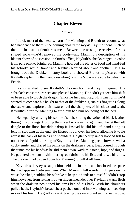## **Chapter Eleven**

### *Drakken*

It took most of the next two arns for Manning and Brandt to recount what had happened to them since coming aboard the *Reykr*. Kayluth spent much of the time in a state of embarrassment. Between the teasing he received for his striped socks—he'd removed his boots—and Manning's description of his blatant show of possession in Orm's office, Kayluth's cheeks ranged in color from pale pink to bright red. Manning hoarded the plates of food and hand-fed his sobroke while Brandt and Kayluth learned about one another. He also brought out the Drakken history book and showed Brandt its pictures with Kayluth explaining them and describing how the Vidar were able to defeat the Fenrir.

Brandt wished to see Kayluth's drakken form and Kayluth agreed. His sobroke's consent surprised and pleased Manning. He hadn't yet seen him shift or been able to touch the dragon. Since he first saw Kayluth's true form, he'd wanted to compare his height to that of the drakken's, run his fingertips along the scales and explore their texture, feel the sharpness of his claws and teeth. Kayluth's offer for Manning to strip him had him bounding off the bed.

He began by untying his sobroke's belt, sliding the softened black leather through its bindings. Holding the silver buckle in his right hand, he let the belt dangle to the floor, but didn't drop it. Instead he slid his left hand along its length, stopping at the end. He flipped it up, over his head, allowing it to lie across the back of his neck and shoulders. He glanced up under hooded lids to note flecks of gold returning to Kayluth's irises. Manning paced forward with a cocky smile, and placed his palms on the drakken's pecs. Heat poured through the tunic into his hands as he slid them down Kayluth's torso, hips, and thighs. He gathered the hem of shimmering red fabric into his fists and raised his arms. The drakken had to bend over for Manning to pull it off him.

Kayluth's fiery eyes caught him, held him in thrall, and he closed the space that had appeared between them. When Manning felt wandering fingers on his waist, he tsked, scolding his sobroke to keep his hands to himself. It didn't stop him, however, from letting his own fingers meander over Kayluth's warm flesh when the drakken positioned his arms behind his back. With his shoulders pulled back, Kayluth's broad chest pushed out and into Manning as if seeking more of his touch. He gladly gave it, teasing the skin around each brown nipple.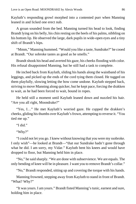Kayluth's responding growl morphed into a contented purr when Manning leaned in and licked one erect nub.

A groan sounded from the bed. Manning turned his head to look, finding Brandt lying on his belly, his chin resting on the heels of his palms, nibbling on his bottom lip. He observed the large, dark pupils in wide-open eyes and a tiny shift of Brandt's hips.

"Mmm," Manning hummed. "Would you like a taste, Sundrake?" he cooed at Brandt. "Our sobroke tastes as good as he smells."

Brandt shook his head and averted his gaze, his cheeks flooding with color. His refusal disappointed Manning, but he still had a task to complete.

He inched back from Kayluth, sliding his hands along the waistband of his leggings, and picked up the ends of the cord tying them closed. He tugged on them playfully, slowing letting the bow come undone. Kayluth stepped back, striving to move Manning along quicker, but he kept pace, forcing the drakken to wait, as he had been forced to wait, bound in ropes.

He held still a moment until Kayluth leaned down and nuzzled his hair. "Are you all right, Moondrake?"

"Yes, I…" He met Kayluth's worried gaze. He cupped the drakken's cheeks, gliding his thumbs over Kayluth's frown, attempting to reverse it. "You tied me up."

"I did."

"Why?"

"I could not let you go. I knew without knowing that you were my ssobroke. I only wish"—he looked at Brandt—"that our Sundrake hadn't gone through what he did. I am sorry, my Vidar." Kayluth bent his knees and would have dropped to floor, but Manning held him in place.

"No," he said sharply. "We are done with subservience. We are equals. The only bending of knee will be in pleasure. I want you to remove Brandt's collar."

"No," Brandt responded, sitting up and covering the torque with his hands.

Manning frowned, stepping away from Kayluth to stand in front of Brandt. "What? Why?"

"It was yours. I am yours." Brandt fisted Manning's tunic, earnest and sure, holding him in place.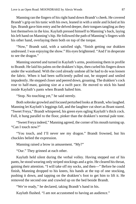Manning ran the fingers of his right hand down Brandt's cheek. He covered Brandt's grip on his tunic with his own, leaned in with a smile and licked at his lips. Brandt gave him entry and he delved deeper, their tongues tangling as they lost themselves in the kiss. Kayluth pressed himself to Manning's back, laying his left hand on Manning's hip. He followed the path of Manning's fingers with his other hand, overlaying them both on top of the torque.

"Now," Brandt said, with a satisfied sigh, "finish getting our drakken undressed. I was enjoying the show." His eyes brightened. "And I'm desperate to see the dragon."

Manning snorted and turned in Kayluth's arms, positioning them in profile to Brandt. He laid his palms on the drakken's hips, then curled his fingers down under the waistband. With the cord already undone all he had to do was loosen the fabric. When it had been sufficiently pulled out, he stopped and smiled impudently. He stepped closer and peered down, groaning. The drakken's cock rose to half-mast, gaining size at a swift pace. He moved to stick his hand inside Kayluth's pants when Brandt halted him.

"Stop. No touching yet," he said sternly.

Both sobroke growled and focused perturbed looks at Brandt, who laughed. Manning let Kayluth's leggings fall, and the laughter cut short as Brant stared. "Sweet Freya," Brandt whispered, his green eyes ogling Kayluth's thick cock. Full, it hung parallel to the floor, pinker than the drakken's normal pale tone.

"Sweet Freya indeed," Manning agreed, the corner of his mouth turning up. "Can I touch now?"

"You touch, and I'll never see my dragon." Brandt frowned, but his chuckles belied the expression.

Manning raised a brow in amusement. "My?"

"Our." They grinned at each other.

Kayluth held silent during the verbal volley. Having stepped out of his pants, he stood wearing only striped stockings and a grin. He cleared his throat, gaining their attention. "I will take off my socks, and then—" Before he could finish, Manning dropped to his knees, his hands at the top of one stocking, pushing it down, and tapping on the drakken's foot to get him to lift it. He removed the second one and crawled up on the bed beside Brandt.

"We're ready," he declared, taking Brandt's hand in his.

Kayluth flushed. "I am not accustomed to having an audience."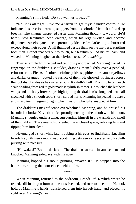Manning's smile fled. "Do you want us to leave?"

"No, it is all right. Give me a tarran to get myself under control." He indicated his erection, earning sniggers from his sobroke. He took a few deep breaths. The change happened faster than Manning thought it would. He'd barely saw Kayluth's head enlarge, when his legs swelled and became disjointed. An elongated neck sprouted golden scales darkening to burnt red except along their edges. A tail thumped beside them on the mattress, startling both men. Brandt reached out to touch, but Kayluth pulled his tail back and waved it. Manning laughed at the obvious tease. *No touching.*

They scrambled off the bed and cautiously approached. Manning placed his fingertips on the drakken's shoulder, drawing them lightly over a pebbled, crimson scale. Flecks of colors—citrine golds, sapphire blues, amber yellows and darker oranges—dotted the surface of them. He ghosted his fingers across the rock-hard scales as he circled around Kayluth's bulk. From tip to tail, each scale shading from red to gold made Kayluth shimmer. He touched the leathery wings and the bony brow ridges highlighting the drakken's elongated head, all crowned with a smooth set of short, curved horns. Manning inspected his claws and sharp teeth, feigning fright when Kayluth playfully snapped at him.

The drakken's magnificence overwhelmed Manning, and he praised his beautiful sobroke. Kayluth huffed proudly, nosing at them both with his snout. Manning snuggled under a wing, surrounding himself in the warmth and smell of the drakken. The sweet tolsu scented the enclosed space, relaxing him and tipping him into sleep.

He emerged a short while later, rubbing at his eyes, to find Brandt kneeling beside Kayluth's enormous head, scratching between some scales, and Kayluth purring with pleasure.

"He wakes!" Brandt declared. The drakken snorted in amusement and knocked Manning sideways with his nose.

Manning bopped his snout, grinning. "Watch it." He stepped into the bathroom, sliding the door closed behind him.

\*\*\*\*

When Manning returned to the bedroom, Brandt left Kayluth where he rested, still in dragon form on the massive bed, and rose to meet him. He took hold of Manning's hands, transferred them into his left hand, and placed his right over Manning's heart.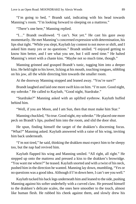"I'm going to bed, " Brandt said, indicating with his head towards Manning's room. "I'm looking forward to sleeping on a mattress."

"There's one here," Manning replied.

"I…" Brandt swallowed. "I can't. Not yet." He cast his gaze away momentarily. He met Manning's concerned expression with determination, his lips shut tight. "While you slept, Kayluth lay content to not move or shift, and I asked him many yes or no questions." Brandt smiled. "I enjoyed getting to know him better, and I see what you see, but I still need time." He halted Manning's retort with a chaste kiss. "Maybe not so much time, though."

Manning grinned and grasped Brandt's tunic, tugging him into a deeper kiss. He held tight to his lover, licking at his mouth, touching tongues, nibbling on his jaw, all the while directing him towards the smaller room.

At the doorway Manning stopped and leaned away. "You're sure?"

Brandt laughed and laid one more swift kiss on him. "I'm sure. Good night, my sobroke." He called to Kayluth, "Good night, Stardrake."

"Stardrake?" Manning asked with an uplifted eyebrow. Kayluth huffed behind him.

"Well, if you are Moon, and I am Sun, then that must make him Star."

Manning chuckled, "So true. Good night, my sobroke." He placed one more peck on Brandt's lips, pushed him into the room, and slid the door shut.

He spun, finding himself the target of the drakken's discerning focus. "What?" Manning asked. Kayluth answered with a raise of his wing, inviting him back underneath.

"I'm not tired," he said, thinking the drakken must expect him to be sleepy too, but the nap had revived him.

Kayluth flapped his wing and Manning smiled. "All right, all right." He stepped up onto the mattress and pressed a kiss to the drakken's browridge. "You want me where?" he teased. Kayluth snorted and with a twist of his neck, pushed him in the direction he wanted. Manning lay down, mumbling, "Yes or no questions was a good idea. Although if I'm down here, I can't see you well."

Kayluth tucked his back legs underneath him and leaned to the side, pushing Manning against his softer underbelly with a curved claw. He pressed himself to the drakken's delicate scales, the ones here smoother to the touch, almost like human flesh. He rubbed his cheek against them, and slowly drew his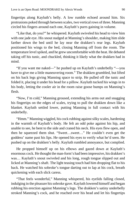fingertips along Kayluth's belly. A low rumble echoed around him. Six protrusions poked through between scales, two vertical rows of three. Manning circled his fingers around each one, Kayluth's purrs gaining in volume.

"Like that, do you?" he whispered. Kayluth swiveled his head to view him with one jade eye. His snout nudged at Manning's shoulder, making him slide farther down the bed until he lay near the drakken's rear legs. Kayluth positioned his wings to the bed, closing Manning off from the room. The temperature level spiked, and he grew uncomfortable with the heat. He debated taking off his tunic, and chuckled, thinking it likely what the drakken had in mind.

"If you want me naked—" he pushed up on Kayluth's underbelly "—you have to give me a little maneuvering room." The drakken grumbled, but lifted on his back legs giving Manning space to strip. He pulled off the tunic and folded it, placing it under his head for a pillow. Kayluth tucked his wings in to his body, letting the cooler air in the room raise goose bumps on Manning's flesh.

"Now, I'm cold," Manning groused, extending his arms out and snagging his fingertips on the edges of scales, trying to pull the drakken down like a blanket. Kayluth settled lower, putting Manning in full contact with his underbelly.

"Hmm." Manning wiggled, his cock rubbing against silky scales, hardening in the warmth of Kayluth's body. He felt an odd poke against his hip, and unable to see, he bent to the side and craned his neck. His eyes flew open, and then he squeezed them shut. "Sweet…sweet…" He couldn't even get the goddess' name past his lips. He opened his eyes to verify what he'd seen. He pushed up on the drakken's belly. Kayluth rumbled annoyance, but complied.

He propped himself up on his elbows and gazed down at Kayluth's enormous cock. He thought the man-form's had been impressive, his drakken's was… Kayluth's snout swiveled and his long, rough tongue slipped out and licked at Manning's shaft. The light teasing touch had him dropping flat to his back. He watched his sobroke's tongue darting out to lap at his cock, breath quickening with each slick caress.

"That feels wonderful," Manning whispered, his eyelids falling closed, indulging in the pleasure his sobroke gave. Kayluth lowered himself and began rubbing his erection against Manning's legs. The drakken's satiny underbelly stroked Manning's cock, and he reached over his head and let his fingertips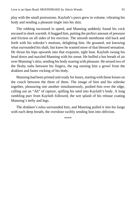play with the small protrusions. Kayluth's purrs grew in volume, vibrating his body and sending a pleasant tingle into his skin.

The rubbing increased in speed, and Manning suddenly found his cock encased in sleek warmth. It hugged him, putting the perfect amount of pressure and friction on all sides of his erection. The smooth membrane slid back and forth with his sobroke's motions, delighting him. He groaned, not knowing what surrounded his shaft, but knew he wanted more of that blessed sensation. He thrust his hips upwards into that exquisite, tight heat. Kayluth swung his head down and nuzzled Manning with his snout. He huffed a hot breath of air over Manning's skin, sending his body soaring with pleasure. He seized two of the fleshy nubs between his fingers, the tug earning him a growl from the drakken and faster rocking of his body.

Manning had been primed and ready for hours, starting with those kisses on the couch between the three of them. The image of him and his sobroke together, pleasuring one another simultaneously, pushed him over the edge, calling out an "Ah" of rapture, spilling his seed into Kayluth's body. A long rumbling purr from Kayluth followed, the wet splash of his release coating Manning's belly and legs.

The drakken's tolsu surrounded him, and Manning pulled it into his lungs with each deep breath, the overdose swiftly sending him into oblivion.

\*\*\*\*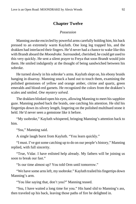## **Chapter Twelve**

#### *Possession*

Manning awoke encircled by powerful arms carefully holding him, his back pressed to an extremely warm Kayluth. One long leg trapped his, and the drakken had interlaced their fingers. He'd never had a chance to wake like this with Brandt aboard the *Moondrake*. Surrounded, cherished, he could get used to this very quickly. He sent a silent prayer to Freya that soon Brandt would join them. He smiled indulgently at the thought of being sandwiched between his sobroke.

He turned slowly in his sobroke's arms. Kayluth slept on, his ebony braids hanging in disarray. Manning snuck a hand out to touch them, examining the polished gemstones of yellow and orange amber, citrine and quartz, green emeralds and blood-red garnets. He recognized the colors from the drakken's scales and smiled. *One mystery solved.*

The drakken blinked open his eyes, allowing Manning to meet his sapphire gaze. Manning pushed back the braids, one catching his attention. He slid his fingertips down its silvery length, lingering on the polished multihued stone it held. He'd never seen a gemstone like it before.

"My ssobroke," Kayluth whispered, bringing Manning's attention back to him.

"Ssu," Manning said.

A single laugh burst from Kayluth. "You learn quickly."

"I must. I've got some catching up to do on our people's history," Manning replied, with full sincerity.

"True, Vidar. I have enlisted help already. My fathers will be joining us soon to break our fast."

"Is our time almost up? You told Orm until tomorrow."

"We have some arns left, my ssobroke." Kayluth trailed his fingertips down Manning's arm.

"You like saying that, don't you?" Manning teased.

"Ssu, I have waited a long time for you." His hand slid to Manning's ass, then traveled up his back, leaving those paths of fire he delighted in.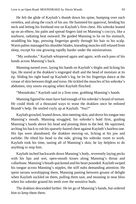He felt the glide of Kayluth's thumb down his spine, bumping over each vertebra, and along the crack of his ass. He hummed his approval, bending his neck and letting his forehead rest on Kayluth's firm chest. His sobroke leaned up on an elbow, his palm and spread fingers laid on Manning's coccyx, like a starburst, radiating heat outward. He guided Manning to lie on his stomach, straddling his legs, pressing fingertips gently through his hair to his scalp. Warm palms massaged his shoulder blades, kneading muscles still relaxed from sleep, except for one growing rapidly harder under the ministrations.

"My ssobroke," Kayluth whispered again and again, with each pass of his hands across Manning's back.

Manning turned over, laying his hands on Kayluth's thighs and licking his lips. He stared at the drakken's engorged shaft and the bead of moisture at its tip. Sliding his right hand up Kayluth's leg, he let his fingertips dance at the crease of skin between thigh and torso. He tickled the muscles of his sobroke's abdomen, tiny snorts escaping when Kayluth flinched.

"Moondrake," Kayluth said in a firm tone, grabbing Manning's hands.

Manning figured he must have had enough of his sobroke's brand of torture. He could think of a thousand ways to tease the drakken once he enlisted Brandt's help. He smiled coyly up at Kayluth. "Ssu?"

Kayluth growled, leaned down, skin meeting skin, and drove his tongue into Manning's mouth. Manning struggled, his sobroke's hold firm, guiding Manning's hands above his head and pinning them to the bed. He squirmed, arching his back to rub his sparsely-haired chest against Kayluth's hairless one. His lips were abandoned, the drakken moving on, licking at his jaw and earlobe. He tilted his head to the side, giving his sobroke room to work. Kayluth took his time, tasting all of Manning's skin; he lay helpless to do anything to stop him.

Kayluth inched backwards down Manning's body, reverently laying pecks with his lips and wet, open-mouth kisses along Manning's throat and collarbone. Manning's breath quickened and his heart pounded. Kayluth swiped his tongue across Manning's nipples, the stiff nubs demanding attention. He spent tarrans worshipping them, Manning panting between groans of delight when Kayluth suckled on them, pulling them taut, and moaning in near bliss when his sobroke grazed his teeth over the sensitive buds.

The drakken descended farther. He let go of Manning's hands, but ordered him to keep them there.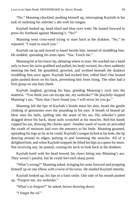"No." Manning chuckled, pushing himself up, interrupting Kayluth in his task of outlining his sobroke's abs with his tongue.

Kayluth looked up, head tilted and blue eyes wide. He leaned forward to press his forehead against Manning's. "No?"

Manning went cross-eyed trying to stare back at the drakken. "No," he repeated. "I want to touch you."

Kayluth sat up and moved to kneel beside him, instead of straddling him. He nodded, spreading his arms open. "Ssu. Touch me."

Manning bit at his lower lip, debating where to start. He reached out a hand only to have his wrist grabbed and pulled, his body twisted, his chest suddenly meeting the bed. He grumbled, growled, and writhed beneath the drakken straddling him once again. Kayluth had tricked him, rolled him! One heated palm pushed down on his back, preventing him from rising. The other had a firm grasp on one butt cheek.

Kayluth laughed, gyrating his hips, grinding Manning's cock into the mattress. "You think you can escape me, my ssobroke?" He playfully slapped Manning's ass. "Now that I have found you, I will never let you go."

Manning felt the tips of Kayluth's braids tease his skin, heard the gentle clinking of gemstones over the pounding in his ears. A breath of heated air blew onto his balls, spilling into the seam of his ass. His sobroke's palm dragged down his back, sharp nails scratched at his muscles. Red-hot hands cupped his ass, drawing the cheeks apart. Another wash of warm air preceded the swath of moisture laid over the entrance to his body. Manning groaned, spreading his legs as far as he could. Kayluth's tongue licked at his hole, the tip dancing around its edges, pulsing in and loosening the muscles. All of it delighted him, and when Kayluth stopped, he lifted his hips in a quest for more. Not receiving any, he pouted, craning his neck to look back at the drakken.

Kayluth knelt with his head bowed, his claws biting into Manning's ass. They weren't painful, but he could feel each sharp point.

"What's wrong?" Manning asked, bringing his arms forward and propping himself up on one elbow with a twist of his torso. He studied Kayluth intently.

Kayluth looked up, his lips in a faint smile. One side of his mouth pushed up. "Forgive me, my ssobroke."

"What's to forgive?" he asked, brows drawing down.

"I forgot the oil."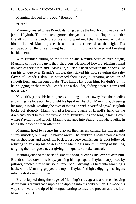Manning flopped to the bed. "Blessed—"

"Here."

Manning twisted to see Brandt standing beside the bed, holding out a small jar to Kayluth. The drakken ignored the jar and laid his fingertips under Brandt's chin. He gently drew Brandt forward until their lips met. A rush of blood flooded Manning's cock and his abs clenched at the sight. His anticipation of the three joining had him turning quickly over and kneeling beside them.

With Brandt standing on the floor, he and Kayluth were of even height, Manning coming only up to their shoulders. He inched forward, placing a hand on each of their asses and, leaning in, stuck his head between their chests. He ran his tongue over Brandt's nipple, then licked his lips, savoring the salty flavor of Brandt's skin. He squeezed their asses, alternating adoration of smooth flesh and hardened nubs. Two hands lay upon him, Kayluth's in his hair, tugging on the strands, Brandt's on a shoulder, sliding down his arms and upper back.

Kayluth's grip on his hair tightened, pulling his head away from their bodies and tilting his face up. He brought his lips down hard on Manning's, thrusting his tongue inside, stealing the taste of their skin with a satisfied growl. Kayluth broke off abruptly. Manning had a fleeting glance of Brandt's hand on the drakken's chest before the view cut off, Brandt's lips and tongue taking over where Kayluth's had left off. Manning moaned into Brandt's mouth, reveling in being the object of their affection.

Manning tried to secure his grip on their asses, curling his fingers into sturdy muscles, but Kayluth moved away. The drakken's heated palms rested on his shoulders and eased him back to rest between his legs. Brandt followed, refusing to give up his possession of Manning's mouth, nipping at his lips, tangling their tongues, never giving him quarter to take control.

Manning cupped the back of Brandt's head, allowing his lover to own him. Brandt shifted down his body, pushing his legs apart. Kayluth, supported by pillows, cradled him to his solid upper body, driving his heat into Manning's back, while Manning gripped the top of Kayluth's thighs, digging his fingers into the drakken's muscles.

Brandt lapped along the ridges of Manning's rib cage and abdomen, leaving damp swirls around each nipple and dipping into his belly button. He made his way southward, the tip of his tongue darting to taste the precum at the slit of Manning's cock.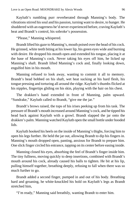Kayluth's rumbling purr reverberated through Manning's body. The vibrations stirred his soul and his passion, turning want to desire, to hunger. He shuddered with an eagerness he'd never experienced before, craving Kayluth's heat and Brandt's control, his sobroke's possession.

"Please," Manning whispered.

Brandt lifted his gaze to Manning's, mouth poised over the head of his cock. He grinned, white teeth biting at his lower lip, his green eyes wide and burning with desire. He dropped his mouth open and extended his tongue, placing it at the base of Manning's cock. Never taking his eyes off him, he licked up Manning's shaft. Brandt lifted Manning's cock and, finally looking down, engulfed him in his mouth.

Manning refused to look away, wanting to commit it all to memory. Brandt's head bobbed on his shaft, wet heat sucking at his hard flesh, his tongue pressing and torturing all around the ridge. Kayluth's thumbs flicked at his nipples, fingertips gliding on his skin, playing with the hair on his chest.

The drakken's hand extended in front of Manning, palm upward. "Sundrake," Kayluth called to Brandt, "give me the jar."

Brandt's brows raised, the tops of his irises peeking up from his task. The pressure of Brandt's mouth increased around Manning's cock, and he tipped his head back against Kayluth with a growl. Brandt slapped the jar onto the drakken's palm. Manning watched Kayluth open the small bottle under hooded lids.

Kayluth hooked his heels on the inside of Manning's thighs, forcing him to open his legs further. He held the jar out, allowing Brandt to dip his fingers in. Manning's mouth dropped open, panting, anxious for Brandt to prepare him. One slick finger circled his entrance, tapping on its center before easing inside.

Manning closed his eyes, absorbing the feel of Brandt's finger inside him. The tiny fullness, moving quickly to deep insertions, combined with Brandt's mouth around his cock, already caused his balls to tighten. He bit at his lip, pulling himself together, breathing deeply, refusing to fall when there was so much further to go.

Brandt added a second finger, pumped in and out of his body. Breathing hard and groaning, he white-knuckled his hold on Kayluth's legs as Brandt stretched him,

"I'm ready," Manning said breathily, wanting Brandt to enter him.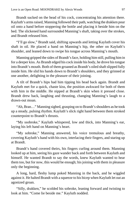Brandt sucked on the head of his cock, concentrating his attention there. Kayluth's arms raised, Manning followed their path, watching the drakken pour oil onto a hand before stoppering the bottle and placing it beside him on the bed. The slickened hand surrounded Manning's shaft, taking over the strokes, and Brandt released him.

"I'll go slow," Brandt said, shifting upwards and letting Kayluth cover his shaft in oil. He placed a hand on Manning's hip, the other on Kayluth's shoulder, and leaned down to swipe his tongue across Manning's mouth.

Manning gripped the sides of Brandt's face, holding him still, pulling him in for a deeper kiss. As Brandt edged his cock inside his body, he drove his tongue into Brandt's mouth. Both of them groaned as Brandt's oiled shaft slipped fully inside him. He slid his hands down to Brandt's shoulders, and they grinned at one another, delighting in the pleasure of their joining.

A tilt of Brandt's hips had him tipping his head back again. Brandt and Kayluth met for a quick, chaste kiss, the position awkward for both of them with him in the middle. He nipped at Brandt's skin when it pressed close. Brandt drew back, laughing and thrusting, changing Manning's laugh to a drawn-out moan.

"Ah, Bran…" Manning sighed, grasping on to Brandt's shoulders as he took up a steady, pulsing rhythm. Kayluth's slick right hand between them stroked counterpoint to Brandt's thrusts.

"My ssobroke," Kayluth whispered, low and thick, into Manning's ear, laying his left hand on Manning's heart.

"My sobroke," Manning answered, his voice tremulous and breathy, covering Kayluth's hand with his own, interlacing their fingers, and staring up at Brandt.

Brandt's hand covered theirs, his fingers curling around them. Manning looked up at him, seeing his gaze wander back and forth between Kayluth and himself. He wanted Brandt to say the words, knew Kayluth wanted to hear them too, but for now, this would be enough; his joining with them in pleasure only the beginning.

A long, hard, fleshy lump poked Manning in the back, and he wiggled against it. He halted Brandt with a squeeze to his bicep when Kayluth let out an agonized groan.

"Silly, drakken," he scolded his sobroke, leaning forward and twisting to look at him. "Come lie beside me." Kayluth nodded.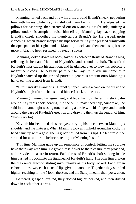Manning turned back and threw his arms around Brandt's neck, peppering him with kisses while Kayluth slid out from behind him. He adjusted the pillows for Manning, then stretched out on Manning's right side, stuffing a pillow under his armpit to raise himself up. Manning lay back, cupping Brandt's cheek, smoothed his thumb across Brandt's lip. He gasped, groin clenching, when Brandt snapped his hips forward. Kayluth pressed firmly with the open palm of his right hand on Manning's cock, and then, enclosing it once more in blazing heat, resumed his steady strokes.

Manning looked down his body, savoring each deep thrust of Brandt's hips, relishing the heat and friction of Kayluth's hand around his shaft. The shift of Kayluth's hips caught his attention, and he glanced over to view his sobroke's magnificent cock. He held his palm out to Kayluth. "Give me some oil." Kayluth snatched up the jar and poured a generous amount onto Manning's hand, earning a snort from Brandt.

"Our Stardrake is anxious," Brandt quipped, laying a hand on the outside of Kayluth's thigh after he had settled himself back on the bed.

Manning hummed his agreement, and bit at his lips. He ran his slick palm around Kayluth's cock, coating it in the oil. "I may need help, Sundrake," he said in the same light teasing tone, making a circle with his fingers and thumb around the base of Kayluth's erection and drawing them up the length of him. "He's very big."

Kayluth blushed the darkest red yet, burying his face between Manning's shoulder and the mattress. When Manning took a firm hold around his cock, his head came up with a gasp, then a groan spilled from his lips. He let himself be stroked for a full tarran before reaching for Manning's shaft.

This time Manning gave up all semblance of control, letting his sobroke have their way with him. He gave himself over to the pleasure they provided, and provided pleasure in return. Each thrust of Brandt's shaft sinking inside him pushed his cock into the tight heat of Kayluth's hand. His own firm grip on the drakken's erection sliding involuntarily as his body rocked. Each groan echoed times two, each taste of lips given to another. Together they spiraled higher, reaching for the Moon, the Sun, and the Star, joined in their possession.

Gathered, grasped, exalted, they floated higher, peaked, and then drifted down in each other's arms.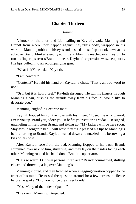## **Chapter Thirteen**

### *Joining*

A knock on the door, and Lian calling to Kayluth, woke Manning and Brandt from where they napped against Kayluth's body, wrapped in his warmth. Manning rubbed at his eyes and pushed himself up to look down at his sobroke. Brandt blinked sleepily at him, and Manning reached over Kayluth to run his fingertips across Brandt's cheek. Kayluth's expression was… euphoric. His lips pulled into an accompanying grin.

"What is it?" he asked Kayluth.

"I am content."

"Content?" He laid his hand on Kayluth's chest. "That's an odd word to use."

"Ssu, but it is how I feel." Kayluth shrugged. He ran his fingers through Manning's hair, pushing the strands away from his face. "I would like to decorate you."

Manning laughed. "Decorate me?"

Kayluth bopped him on the nose with his finger. "I used the wrong word. Dress you up. Braid you, adorn you. It befits your station as Vidar." He sighed, untangling himself from Brandt and sitting up. "My fathers will be here soon. Stay awhile longer in bed, I will wash first." He pressed his lips to Manning's before turning to Brandt. Kayluth leaned down and nuzzled him, bestowing a kiss on his nose.

After Kayluth rose from the bed, Manning flopped to his back. Brandt shimmied over next to him, shivering, and they lay on their sides facing each other. Manning rubbed his hand down Brandt's upper arm.

"He's so warm. Our own personal fireplace," Brandt commented, shifting closer and throwing a leg over Manning's.

Manning snorted, and then frowned when a nagging question popped to the front of his mind. He tossed the question around for a few tarrans in silence before he spoke. "Did you notice the silver braid?"

"Yes. Many of the older skipan—"

"Drakken," Manning interjected.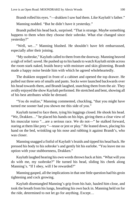Brandt rolled his eyes. "—drakken I saw had them. Like Kayluth's father."

Manning nodded. "But he didn't have it yesterday."

Brandt pulled his head back, surprised. "That is strange. Maybe something happens to them when they choose their sobroke. What else changed since yesterday?"

"Well, we…" Manning blushed. He shouldn't have felt embarrassed, especially after their joining.

"My ssobroke," Kayluth called to them from the doorway. Manning heaved a sigh of relief: saved. He pushed up to his hands to watch Kayluth stride across the room stark naked, braids heavy with moisture and skin glistening. Brandt made a happy noise beside him with which he agreed wholeheartedly.

The drakken stopped in front of a cabinet and opened the top drawer. He pulled out three sets of smalls and pants. Socks were launched backwards over his head towards them, and Brandt laughed, snatching them from the air. They avidly enjoyed the show Kayluth performed. He stretched and bent, showing all of his best attributes while he dressed.

"You do realize," Manning commented, chuckling, "that you might have turned me sooner had you shown me this side of you."

Kayluth turned to face them, tying his leggings closed. He shook his head. "We, Drakken…" he placed his hands on his hips, giving them a clear view of his muscular torso "...are a serious race. We do not—" he stalked forward, staring at them like prey "—tease or jest or play." He leaned down, placing his hand on the bed, wrinkling up his nose and rubbing it against Brandt's, who was closer.

Manning snagged a fistful of Kayluth's braids and tipped his head back. He pressed his body to his sobroke's and gently bit his earlobe. "You leave me no option with your stubbornness, Drakken."

Kayluth laughed hearing his own words thrown back at him. "What will you do with me, my ssobroke?" He turned his head, sliding his cheek along Manning's. "If I obey, will I be rewarded?"

Manning gasped, all the implications in that one little question had his groin tightening and cock growing.

Kayluth disentangled Manning's grip from his hair, hauled him close, and took the breath from his lungs, breathing his own back in. Manning held on for the ride, determined to not let go for anything. Except…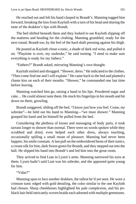He reached out and felt his hand clasped in Brandt's. Manning tugged him forward, breaking the kiss from Kayluth with a turn of his head and sharing the taste of the drakken's lips with Brandt.

The bed shifted beneath them and they looked to see Kayluth slipping off the mattress and heading for the clothing. Manning grumbled, ready for the next round. Brandt too, by the feel of the hard shaft pressing against his thigh.

He pouted as Kayluth chose a tunic, a shade of dark red wine, and pulled it on. "Playtime is over, my ssobroke," he said turning. "I need to make sure everything is ready for my fathers."

"Fathers?" Brandt asked, mirroring Manning's own thought.

Kayluth smiled and shrugged. "Shower, dress." He indicated to the clothes. "Then come find me and I will explain." He came back to the bed and planted a chaste kiss on each of their mouths. "Shower," he commanded one last time before leaving.

Manning watched him go, raising a hand to his lips. Powdered sugar and cake… He could almost taste them. He stuck his fingertips in his mouth and bit down on them, growling.

Brandt sniggered, sliding off the bed. "I know just how you feel. Come, *my* sobroke"—he held out his hand to Manning—"we must shower." Manning grasped his hand and let himself be pulled from the bed.

Considering the plethora of kisses and massaging of body parts, it took tarrans longer to shower than normal. There were no words spoken while they scrubbed and dried, even helped each other dress, always touching, occasionally spilling a small moan of pleasure. Manning had never been happier, his smile constant. A last pull on the embroidered hems of their tunics, a cream silk for him, dark forest-green for Brandt, and they stepped out into the hall. He slipped his hand into Brandt's and led him into the great room.

They arrived to find Lian in Lyurn's arms. Manning narrowed his eyes at them. Lyurn hadn't said Lian was his sobroke, and she appeared quite young for him.

"Vidar?"

Manning spun to face another drakken, the tallest he'd yet seen. He wore a crimson tunic edged with gold detailing, the color similar to the one Kayluth had chosen. Sharp cheekbones highlighted his pale complexion, and his jetblack hair held intricately woven braids each adorned with multiple gemstones.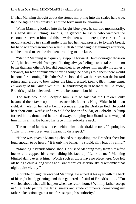If what Manning thought about the stones morphing into the scales held true, then he figured this drakken's shifted form must be enormous.

When Manning looked into the bright-blue eyes, he startled momentarily. His hand still clutching Brandt's, he glanced to Lyurn who watched the encounter between him and this new drakken with interest, the corner of his mouth turned up in a small smile. Lian had her head pressed to Lyurn's breast, his hand wrapped around her waist. A flash of red caught Manning's attention, and he turned to see the drakken dropping to one knee.

"Stand," Manning said quickly, stepping forward. He discouraged those on Volé, his homeworld, from genuflecting, always feeling it to be false—him no better than any other. A few did bend their knee before him, mostly his father's servants, for fear of punishment even though he always told them there would be none forthcoming. His father's Jarls looked down their noses at the bastard prince and refused to bow unless the king presided. *Lowly, illegitimate child. Unworthy of the rank given him.* He shuddered; he'd heard it all. As Vidar, Brandt's position elevated, he would be content, but his…

The Jarls would still despise him, sure to say that the Drakken only bestowed their favor upon him because his father is King, Vidar in his own right. Any elation he had at being a prince among the Drakken fled. He could hear their cruel words: unfit to hold the honor of Vidar, of Sobroke. A lump formed in his throat and he turned away, bumping into Brandt who wrapped him in his arms. He buried his face in his sobroke's neck.

The rustle of fabric sounded behind him as the drakken rose. "I apologize, Vidar, if I have upset you. I meant no disrespect."

"None was given," Manning choked out, speaking into Brandt's chest but loud enough to be heard. "It is only me being... a stupid, silly brat of a child."

"Manning!" Brandt admonished. He pushed Manning away from him a few inches and cupped his cheek, tilting his face up. "Look at me." Manning blinked damp eyes at him. "Words such as those have no place here. You left off being a child a long time ago." Brandt smiled lasciviously. "I remember that night quite vividly."

A bubble of laughter escaped Manning. He wiped at his eyes with the back of his right hand, grinning, and then gathered a fistful of Brandt's tunic. "I'm worried about what will happen when we return home? Will my father accept us? I already picture the Jarls' sneers and snide comments, demanding my father take action against me, for usurping his authority."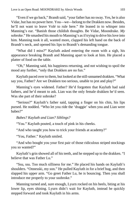"Even if we go back," Brandt said, "your father has no sway. Yes, he is also Vidar, but has no power here. You—we—belong to the Drakken now. Besides, he'll not want to leave Volé to rule here." He leaned in to whisper into Manning's ear. "Banish those childish thoughts. Be Vidar, Moondrake. *My* sobroke." He smashed his mouth to Manning's as if trying to drive his love into him. Manning took it all, wanted more, clapped his left hand on the back of Brandt's neck, and opened his lips to Brandt's demanding tongue.

"What did I miss?" Kayluth asked entering the room with a sigh, his appearance breaking Brandt and Manning apart to look at him. He placed a platter of food on the table.

"Oh," Manning said, his happiness returning, and not wishing to spoil the mood any further, "only that Drakken are no fun."

Kayluth paced over to them, but looked at the still-unnamed drakken. "What say you, Father? Are we Drakken too serious, unable to jest and play?"

Manning's eyes widened. Father? He'd forgotten that Kayluth had said fathers, and he'd meant to ask. Lian was the only female drakken he'd seen. Was she part of their sobroke?

"Serious?" Kayluth's father said, tapping a finger on his chin, his lips pursed. He nodded. "Who let you ride the 'draggie' when you and Lian were babes?"

*Babes? Kayluth and Lian? Siblings?*

"You." Kayluth pouted, a touch of pink in his cheeks.

"And who taught you how to trick your friends at academy?"

"You, Father." Kayluth smiled.

"And who bought you your first pair of those ridiculous striped stockings you so wanted?"

Kayluth's grin showed all of his teeth, and he stepped up to the drakken. "I believe that was Father Lu."

"Ssu, ssu. Too much silliness for me." He placed his hands on Kayluth's shoulders. "Onnesski, my son." He pulled Kayluth in for a brief hug, and then slapped his upper arm. "Go greet Father Lu, he is bouncing. Then you shall introduce me properly to your ssobroke."

Manning turned and, sure enough, Lyurn rocked on his heels, biting at his lower lip, eyes shining. Lyurn didn't wait for Kayluth, instead he quickly stepped forward and took Kayluth in his arms.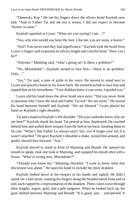"Onnesski, Kay." He ran his fingers down the silvery braid Kayluth now had. "And to Father Tai and me too it seems. I did not expect to become *Tassair* so soon."

Kayluth squinted at Lyurn. "What are you saying? I am…?"

"Ssu, why else would you have the *Ssol*. Like me, you are *seeta*, a bearer."

"Ssol? You never said they had significance." Kayluth took the braid from Lyurn's fingers and examined its silvery length and colorful bead. "How can I be?"

"Sobroke," Manning said, "what's going on? Is there a problem?"

"No, Moondrake"—Kayluth turned to face him—"there is no problem. Only…"

"Joy," Tai said, a note of pride in his voice. He moved to stand next to Lyurn and placed a hand on his lower back. He turned Kayluth to face him and tapped him on his breastbone. "Your drakken knew it was *seeta*; it guided you."

Lyurn slid his hand down the silver braid once more. "Did you never think to question why I have the Ssol and Father Tai not? We are *seeta*." He waved his hand between himself and Kayluth. "We are blessed." Lyurn placed his hand on Kayluth's right shoulder.

Tai laid a hand on Kayluth's left shoulder. "Do your ssobroke know why we are here?" Kayluth shook his head. Tai peered at him, displeased. He reached behind him and pulled three torques from the belt at his back, handing them to his son. "What's that Father Lu always says? Ssu, you'd forget your tail if it wasn't attached." He gave Kayluth's shoulder a shake, turned him around, and gently shoved him forward. "Ask."

Kayluth moved to stand in front of Manning and Brandt. He opened his mouth to speak, took one look at Manning, and snapped his mouth shut with a frown. "What is wrong now, Moondrake?"

"Already you know me." Manning chuckled. "I want to know what that discussion was about." He spun his hand to include the three drakken.

Kayluth looked down at the torques in his hands and sighed. He didn't speak for a full tarran, running his fingers along the braided metal from end to end, each capped by a representation of the drakken. Three colors wove through their lengths: argent, gold, and a pale sanguine. When he looked back up, his gaze shifted between Manning and Brandt. "It is good, just… unexpected. It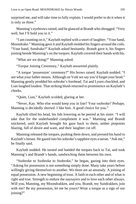surprised me, and will take time to fully explain. I would prefer to do it when it is only us three."

Manning's eyebrows raised, and he glanced at Brandt who shrugged. "Very well, but I'll hold you to it."

"I am counting on it," Kayluth replied with a snort of laughter. "Your hand, Moondrake." Manning gave it and Kayluth molded his fingers around the coils. "Your hand, Sundrake?" Kayluth asked hesitantly. Brandt gave it, his fingers joining beside Manning's on the torques. Kayluth covered their hands with his.

"What are we doing?" Manning asked.

"Torque Joining Ceremony," Kayluth answered plainly.

"A torque 'possession' ceremony?" His brows raised. Kayluth nodded. "I see what your father means. Although on Volé we say you'd forget your head." Manning gently prodded his sobroke's forehead. Tai and Lyurn chuckled, and Lian laughed loudest. That striking blush returned to prominence on Kayluth's cheeks.

"Quiet, Lian," Kayluth scolded, glaring at her.

"Never, Kay. Who else would keep you in line? Your ssobroke? Perhaps. Manning is decidedly shrewd. I like him. A good choice for you."

Kayluth tilted his head, his lids lowering as he peered at his sister. "I will take that for the underhanded compliment it was." Manning and Brandt snickered, until Kayluth brought his gaze back to them, amber pinpoints blazing, full of desire and want, and their laughter cut off.

Manning released the torques, pushing them down, and pressed his hand to Kayluth's breast. He gazed into his sobroke's sapphire eyes a tarran. "Ask me," he finally said.

Kayluth nodded. He turned and handed the torques back to Tai, and took Manning's and Brandt's hands, sandwiching them between his own.

"Ssobroke to Ssobroke to Ssobroke," he began, gazing into their eyes. "Asking for possession is not something simply done. Many take years before willingly giving themselves to another. We three are an anomaly. A joining of equal possession. A new beginning of trust. A faith in each other and of what is right and true. Strength to endure the naysayers and to love each other always. Will you, Manning, my Moondrakken, and you, Brandt, my Sundrakken, join with me? Be my possession, let me be yours? Wear a torque as a sign of our joining?"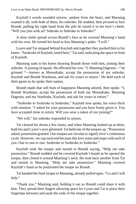Kayluth's words sounded sincere, spoken from the heart, and Manning wanted it all, with both of them, his sobroke. He nodded, then pivoted to face Brandt, pulling his right hand from the pile he raised it to his love's cheek. "Will you join with us? Sobroke to Sobroke to Sobroke?"

A slow smile spread across Brandt's face as he covered Manning's hand with his own. He turned his head to kiss Manning's palm. "I will."

Lyurn and Tai stepped behind Kayluth and together they pushed him to his knees. "Ssobroke of Kayluth, kneel here," Tai said, indicating the space in front of Kayluth.

Manning sank to his knees drawing Brandt down with him, joining their sobroke. A joining of equals. He affirmed his vow. "I, Manning Dagrson—" he grinned "—known as Moondrake, accept the possession of my sobroke, Kayluth and Brandt Wardman, and ask for yours in return." He held each of their gazes as he spoke their names.

Brandt made that soft hum of happiness Manning adored, then spoke. "I, Brandt Wardman, accept the possession of both my Moondrake, Manning Dagrson, and my Stardrake, Kayluth, and ask for yours in return."

"Ssobroke to Ssobroke to Ssobroke," Kayluth now spoke, his voice thick with emotion. "I asked for your possession and you have freely given it. You have accepted mine in return. Will you wear a token of our joining?"

"We will," his sobroke responded in unison.

Tai cleared his throat a few times, and when Manning looked up at them, both his and Lyurn's eyes glistened. Tai held one of the torques up. "Possession asked, possession granted. Our torques are circular to signify love's continuous cycle. However, we cap each end because this love starts and stops with each of you. One to one to one. Ssobroke to Ssobroke to Ssobroke."

Kayluth took the torque and turned to Brandt saying, "Help me take possession." Brandt nodded and he covered Kayluth's hands as he opened the torque, then closed it around Manning's neck. He took back another from Tai and turned to Manning. "Help me take possession." Manning covered Kayluth's hand as he positioned the torque on Brandt.

Tai handed the final torque to Manning, already pulled open. "Lu and I will help."

"Thank you," Manning said, holding it out so Brandt could share it with him. They spread their fingers allowing space for Lyurn and Tai to place their fingertips between and push the ends of the torque together.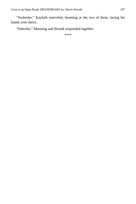"Ssobroke," Kayluth marveled, beaming at the two of them, laying his hands over theirs.

"Sobroke," Manning and Brandt responded together.

\*\*\*\*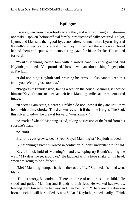# **Epilogue**

Kisses given from one sobroke to another, and words of congratulations onnesski—spoken, before official family introductions finally occurred. Tailyn, Lyurn, and Lian said their good-byes soon after, but not before Lyurn fingered Kayluth's silver braid one last time. Kayluth palmed the entryway closed behind them and spun with a smoldering gaze for his ssobroke. He stalked forward.

"Wait." Manning halted him with a raised hand; Brandt groaned and Kayluth grumbled. "You promised," he said with an admonishing finger-point at Kayluth.

"I did not, but," Kayluth said, crossing his arms, "I also cannot keep this from you. We progress too fast."

"Progress?" Brandt asked, taking a seat on the couch. Manning sat beside him and Kayluth came to kneel at their feet. Manning smiled at the remembered image.

"It seems I am seeta, a bearer. Drakken do not know if they are until they bond with their ssobroke. The drakken reveals it if the time is right. The Ssol, this silver braid—" he drew it forward "—is a mark."

"A mark of what?" Manning asked, taking possession of the braid from his sobroke's hand.

"A child."

Brandt's eyes grew wide. "Sweet Freya! Manning's?" Kayluth nodded.

But Manning's brow furrowed in confusion. "I don't understand," he said.

Kayluth took hold of Manning's hands, scooping up Brandt's along the way. "My dear, sweet ssobroke." He laughed with a little shake of his head. "You are going to be a father."

"Me?" Manning slumped back on the couch. "I…" Stunned, his mind went blank.

"Do not worry, Moondrake. There are three of us to raise our child." He stood and pulled Manning and Brandt to their feet. He walked backwards, leading them towards the hallway and their bedroom. "There are few drakken born, our child will be spoiled. A new Vidar!" Kayluth grinned madly. "Think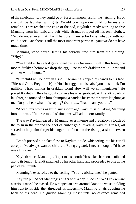of the celebrations, they could go on for a full moon just for the hatching. He or she will be lavished with gifts. Would you hope our child to be male or female?" They reached the edge of the bed, Kayluth already working to free Manning from his tunic and belt while Brandt stripped off his own clothes. "No, do not answer that! I will be upset if my sobroke is unhappy with our child's sex. And there is still the most important part to tell you: we do not have much time."

Manning stood dazed, letting his sobroke free him from the clothing. "Why?"

"We Drakken have fast gestational cycles. One month still in this form, one month drakken before we drop the egg. One month drakken while I nest and another while I nurse."

"Our child will be born in a shell!" Manning slapped his hands to his face. "Blessed Odin, Freya and Njor. No," he tugged at his hair, "you must think I'm gullible. Three months in drakken form! How will we communicate?" He poked Kayluth in the chest, only to have his wrist grabbed. At Brandt's bark of laughter, he rounded on him, thumping a hand to his chest. "You're laughing at me. Do you hear what he's saying? *Our child.* That means you too."

"Accept my words as truth, my ssobroke," Kayluth said, taking Manning into his arms. "In three months' time, we will add to our family."

The way Kayluth gazed at Manning, eyes intense and predatory, a touch of the tolsu in the air and the shot of amber gold invading Kayluth's irises, all served to help him forget his anger and focus on the rising passion between them.

Brandt pressed his naked flesh to Kayluth's side, whispering into his ear. "I accept. I've always wanted children. Being a guard, I never thought I'd have one of my own."

Kayluth raised Manning's finger to his mouth. He sucked hard on it, nibbled along its length. Brandt snatched up his other hand and proceeded to bite at the pad of his thumb.

Manning's eyes rolled to the ceiling. "You… trick… me," he panted.

Kayluth pulled off Manning's finger with a pop. "I do not. We Drakken are a serious race," he teased. He wrapped an arm around Brandt's waist, holding him tight to his side, then threaded his fingers into Manning's hair, cupping the back of his head. He guided Manning closer until no distance remained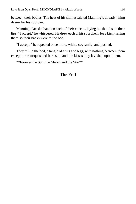between their bodies. The heat of his skin escalated Manning's already rising desire for his sobroke.

Manning placed a hand on each of their cheeks, laying his thumbs on their lips. "I accept," he whispered. He drew each of his sobroke in for a kiss, turning them so their backs were to the bed.

"I accept," he repeated once more, with a coy smile, and pushed.

They fell to the bed, a tangle of arms and legs, with nothing between them except three torques and bare skin and the kisses they lavished upon them.

\*\*Forever the Sun, the Moon, and the Star\*\*

## **The End**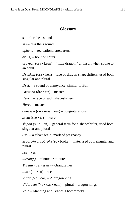## **Glossary**

 $ss - slur$  the s sound

 $sss - hiss$  the s sound

*aphena* – recreational area/arena

 $arn(s)$  – hour or hours

*drakeen* (dra  $\bullet$  keen) – "little dragon," an insult when spoke to an adult

*Drakken* (dra  $\bullet$  ken) – race of dragon shapeshifters, used both singular and plural

 $Drek - a$  sound of annoyance, similar to Bah!

*Drottinn* (dro  $\cdot$  tin) – master

*Fenrir* – race of wolf shapeshifters

 $Herra$  – master

*onnesski* (on  $\cdot$  ness  $\cdot$  key) – congratulations

seeta (see  $\bullet$  ta) – bearer

*skipan* (skip  $\cdot$  an) – general term for a shapeshifter, used both singular and plural

 $Ssol - a$  silver braid, mark of pregnancy

Ssobroke or sobroke (so  $\bullet$  broke) – mate, used both singular and plural

 $ssu - yes$ 

 $tarran(s)$  – minute or minutes

 $Tassair$  (Ta • ssair) – Grandfather

*tolsu* (tol • su) – scent

*Vidar* (Ve  $\bullet$  dar) – A dragon king

Vidareem (Ve • dar • eem) – plural – dragon kings

 $Vol\acute{e}$  – Manning and Brandt's homeworld